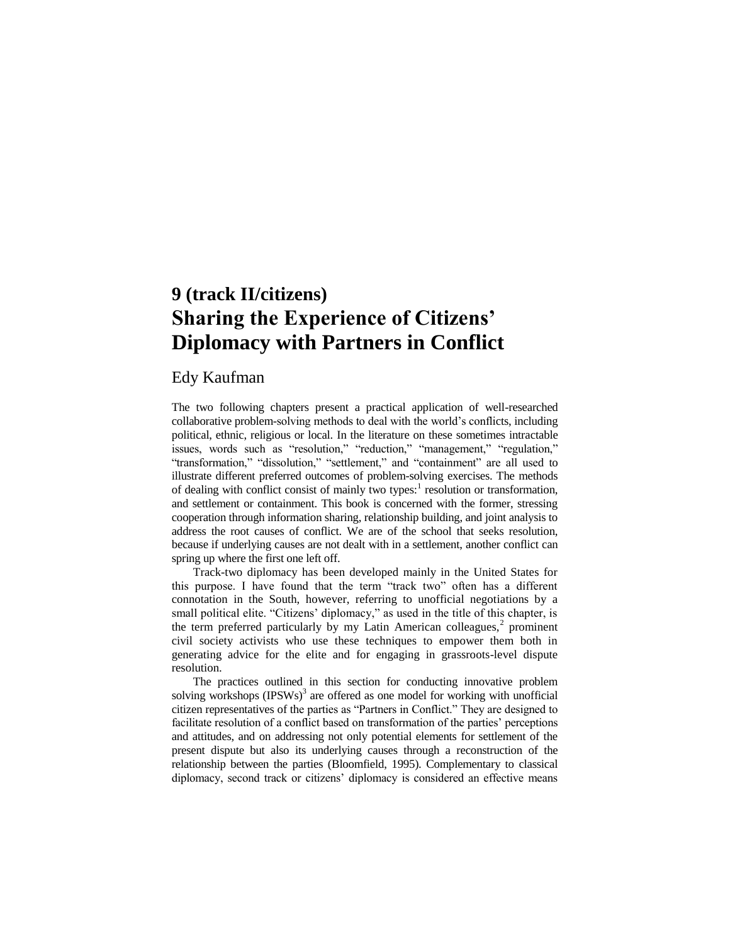# **9 (track II/citizens) Sharing the Experience of Citizens' Diplomacy with Partners in Conflict**

# Edy Kaufman

The two following chapters present a practical application of well-researched collaborative problem-solving methods to deal with the world's conflicts, including political, ethnic, religious or local. In the literature on these sometimes intractable issues, words such as "resolution," "reduction," "management," "regulation," "transformation," "dissolution," "settlement," and "containment" are all used to illustrate different preferred outcomes of problem-solving exercises. The methods of dealing with conflict consist of mainly two types:<sup>1</sup> resolution or transformation, and settlement or containment. This book is concerned with the former, stressing cooperation through information sharing, relationship building, and joint analysis to address the root causes of conflict. We are of the school that seeks resolution, because if underlying causes are not dealt with in a settlement, another conflict can spring up where the first one left off.

Track-two diplomacy has been developed mainly in the United States for this purpose. I have found that the term "track two" often has a different connotation in the South, however, referring to unofficial negotiations by a small political elite. "Citizens' diplomacy," as used in the title of this chapter, is the term preferred particularly by my Latin American colleagues, $<sup>2</sup>$  prominent</sup> civil society activists who use these techniques to empower them both in generating advice for the elite and for engaging in grassroots-level dispute resolution.

The practices outlined in this section for conducting innovative problem solving workshops  $(IPSWs)^3$  are offered as one model for working with unofficial citizen representatives of the parties as "Partners in Conflict." They are designed to facilitate resolution of a conflict based on transformation of the parties' perceptions and attitudes, and on addressing not only potential elements for settlement of the present dispute but also its underlying causes through a reconstruction of the relationship between the parties (Bloomfield, 1995). Complementary to classical diplomacy, second track or citizens' diplomacy is considered an effective means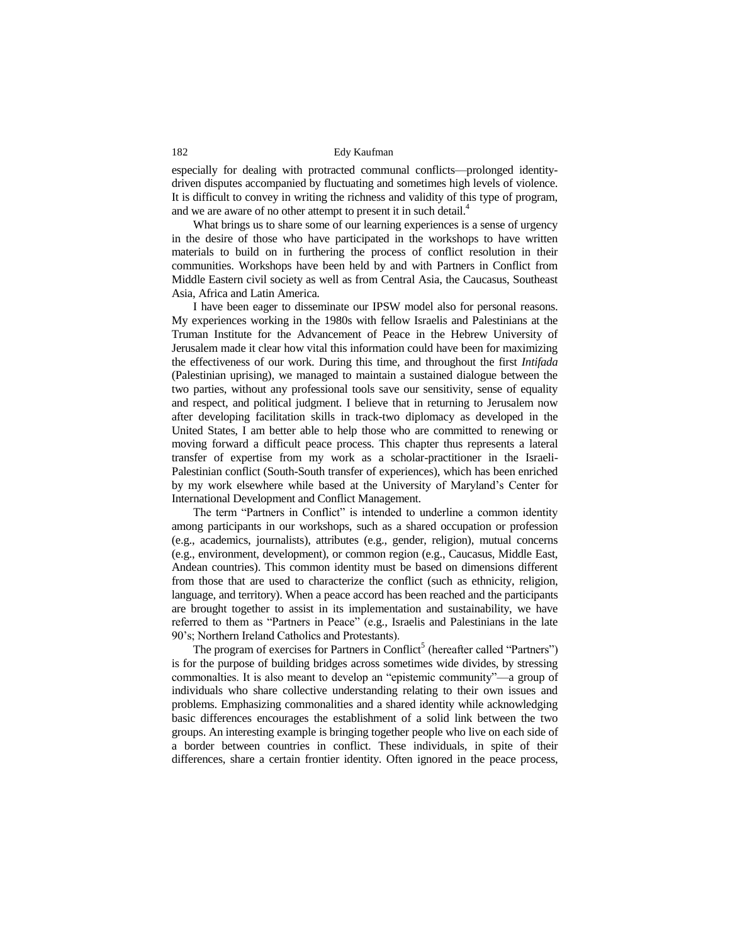especially for dealing with protracted communal conflicts—prolonged identitydriven disputes accompanied by fluctuating and sometimes high levels of violence. It is difficult to convey in writing the richness and validity of this type of program, and we are aware of no other attempt to present it in such detail.<sup>4</sup>

What brings us to share some of our learning experiences is a sense of urgency in the desire of those who have participated in the workshops to have written materials to build on in furthering the process of conflict resolution in their communities. Workshops have been held by and with Partners in Conflict from Middle Eastern civil society as well as from Central Asia, the Caucasus, Southeast Asia, Africa and Latin America.

I have been eager to disseminate our IPSW model also for personal reasons. My experiences working in the 1980s with fellow Israelis and Palestinians at the Truman Institute for the Advancement of Peace in the Hebrew University of Jerusalem made it clear how vital this information could have been for maximizing the effectiveness of our work. During this time, and throughout the first *Intifada* (Palestinian uprising), we managed to maintain a sustained dialogue between the two parties, without any professional tools save our sensitivity, sense of equality and respect, and political judgment. I believe that in returning to Jerusalem now after developing facilitation skills in track-two diplomacy as developed in the United States, I am better able to help those who are committed to renewing or moving forward a difficult peace process. This chapter thus represents a lateral transfer of expertise from my work as a scholar-practitioner in the Israeli-Palestinian conflict (South-South transfer of experiences), which has been enriched by my work elsewhere while based at the University of Maryland's Center for International Development and Conflict Management.

The term "Partners in Conflict" is intended to underline a common identity among participants in our workshops, such as a shared occupation or profession (e.g., academics, journalists), attributes (e.g., gender, religion), mutual concerns (e.g., environment, development), or common region (e.g., Caucasus, Middle East, Andean countries). This common identity must be based on dimensions different from those that are used to characterize the conflict (such as ethnicity, religion, language, and territory). When a peace accord has been reached and the participants are brought together to assist in its implementation and sustainability, we have referred to them as "Partners in Peace" (e.g., Israelis and Palestinians in the late 90's; Northern Ireland Catholics and Protestants).

The program of exercises for Partners in Conflict<sup>5</sup> (hereafter called "Partners") is for the purpose of building bridges across sometimes wide divides, by stressing commonalties. It is also meant to develop an "epistemic community"—a group of individuals who share collective understanding relating to their own issues and problems. Emphasizing commonalities and a shared identity while acknowledging basic differences encourages the establishment of a solid link between the two groups. An interesting example is bringing together people who live on each side of a border between countries in conflict. These individuals, in spite of their differences, share a certain frontier identity. Often ignored in the peace process,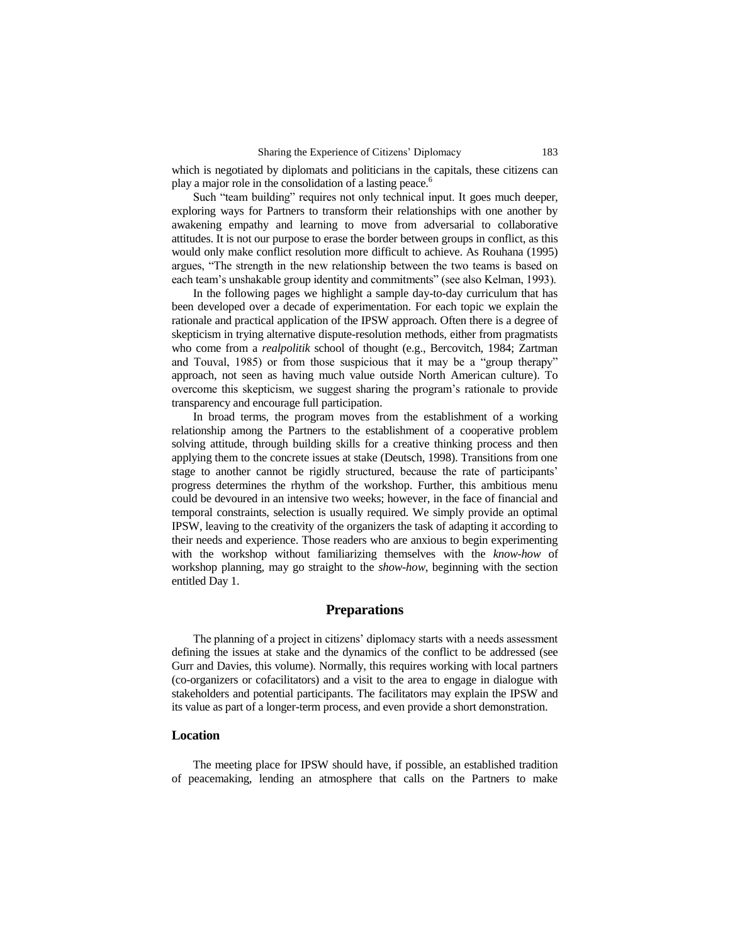which is negotiated by diplomats and politicians in the capitals, these citizens can play a major role in the consolidation of a lasting peace.<sup>6</sup>

Such "team building" requires not only technical input. It goes much deeper, exploring ways for Partners to transform their relationships with one another by awakening empathy and learning to move from adversarial to collaborative attitudes. It is not our purpose to erase the border between groups in conflict, as this would only make conflict resolution more difficult to achieve. As Rouhana (1995) argues, "The strength in the new relationship between the two teams is based on each team's unshakable group identity and commitments" (see also Kelman, 1993).

In the following pages we highlight a sample day-to-day curriculum that has been developed over a decade of experimentation. For each topic we explain the rationale and practical application of the IPSW approach. Often there is a degree of skepticism in trying alternative dispute-resolution methods, either from pragmatists who come from a *realpolitik* school of thought (e.g., Bercovitch, 1984; Zartman and Touval, 1985) or from those suspicious that it may be a "group therapy" approach, not seen as having much value outside North American culture). To overcome this skepticism, we suggest sharing the program's rationale to provide transparency and encourage full participation.

In broad terms, the program moves from the establishment of a working relationship among the Partners to the establishment of a cooperative problem solving attitude, through building skills for a creative thinking process and then applying them to the concrete issues at stake (Deutsch, 1998). Transitions from one stage to another cannot be rigidly structured, because the rate of participants' progress determines the rhythm of the workshop. Further, this ambitious menu could be devoured in an intensive two weeks; however, in the face of financial and temporal constraints, selection is usually required. We simply provide an optimal IPSW, leaving to the creativity of the organizers the task of adapting it according to their needs and experience. Those readers who are anxious to begin experimenting with the workshop without familiarizing themselves with the *know-how* of workshop planning, may go straight to the *show-how*, beginning with the section entitled Day 1.

# **Preparations**

The planning of a project in citizens' diplomacy starts with a needs assessment defining the issues at stake and the dynamics of the conflict to be addressed (see Gurr and Davies, this volume). Normally, this requires working with local partners (co-organizers or cofacilitators) and a visit to the area to engage in dialogue with stakeholders and potential participants. The facilitators may explain the IPSW and its value as part of a longer-term process, and even provide a short demonstration.

#### **Location**

The meeting place for IPSW should have, if possible, an established tradition of peacemaking, lending an atmosphere that calls on the Partners to make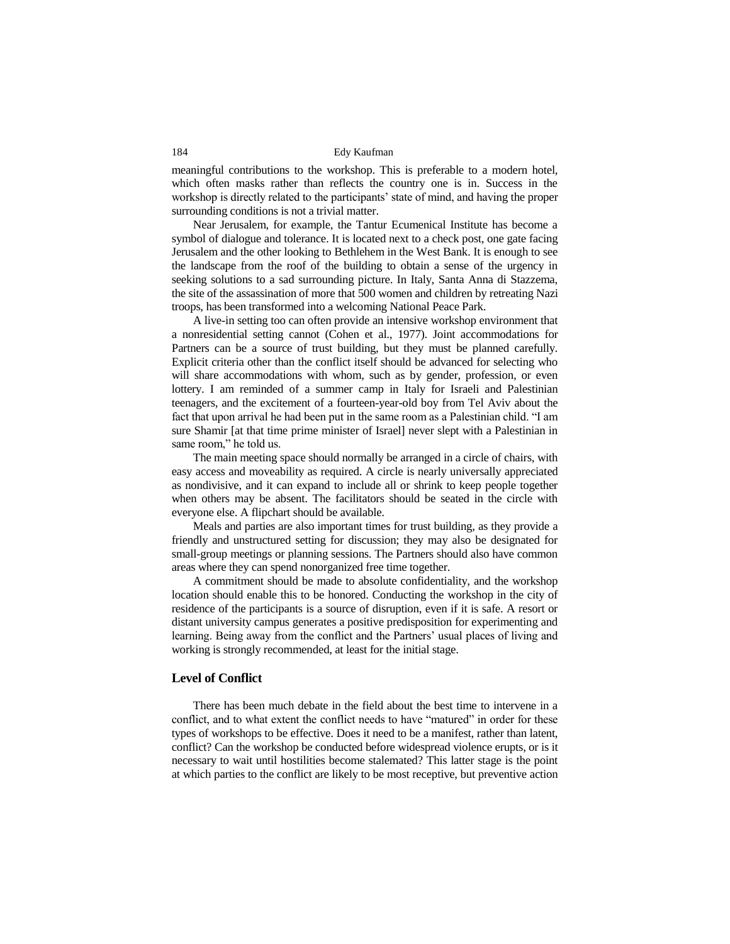meaningful contributions to the workshop. This is preferable to a modern hotel, which often masks rather than reflects the country one is in. Success in the workshop is directly related to the participants' state of mind, and having the proper surrounding conditions is not a trivial matter.

Near Jerusalem, for example, the Tantur Ecumenical Institute has become a symbol of dialogue and tolerance. It is located next to a check post, one gate facing Jerusalem and the other looking to Bethlehem in the West Bank. It is enough to see the landscape from the roof of the building to obtain a sense of the urgency in seeking solutions to a sad surrounding picture. In Italy, Santa Anna di Stazzema, the site of the assassination of more that 500 women and children by retreating Nazi troops, has been transformed into a welcoming National Peace Park.

A live-in setting too can often provide an intensive workshop environment that a nonresidential setting cannot (Cohen et al., 1977). Joint accommodations for Partners can be a source of trust building, but they must be planned carefully. Explicit criteria other than the conflict itself should be advanced for selecting who will share accommodations with whom, such as by gender, profession, or even lottery. I am reminded of a summer camp in Italy for Israeli and Palestinian teenagers, and the excitement of a fourteen-year-old boy from Tel Aviv about the fact that upon arrival he had been put in the same room as a Palestinian child. "I am sure Shamir [at that time prime minister of Israel] never slept with a Palestinian in same room," he told us.

The main meeting space should normally be arranged in a circle of chairs, with easy access and moveability as required. A circle is nearly universally appreciated as nondivisive, and it can expand to include all or shrink to keep people together when others may be absent. The facilitators should be seated in the circle with everyone else. A flipchart should be available.

Meals and parties are also important times for trust building, as they provide a friendly and unstructured setting for discussion; they may also be designated for small-group meetings or planning sessions. The Partners should also have common areas where they can spend nonorganized free time together.

A commitment should be made to absolute confidentiality, and the workshop location should enable this to be honored. Conducting the workshop in the city of residence of the participants is a source of disruption, even if it is safe. A resort or distant university campus generates a positive predisposition for experimenting and learning. Being away from the conflict and the Partners' usual places of living and working is strongly recommended, at least for the initial stage.

# **Level of Conflict**

There has been much debate in the field about the best time to intervene in a conflict, and to what extent the conflict needs to have "matured" in order for these types of workshops to be effective. Does it need to be a manifest, rather than latent, conflict? Can the workshop be conducted before widespread violence erupts, or is it necessary to wait until hostilities become stalemated? This latter stage is the point at which parties to the conflict are likely to be most receptive, but preventive action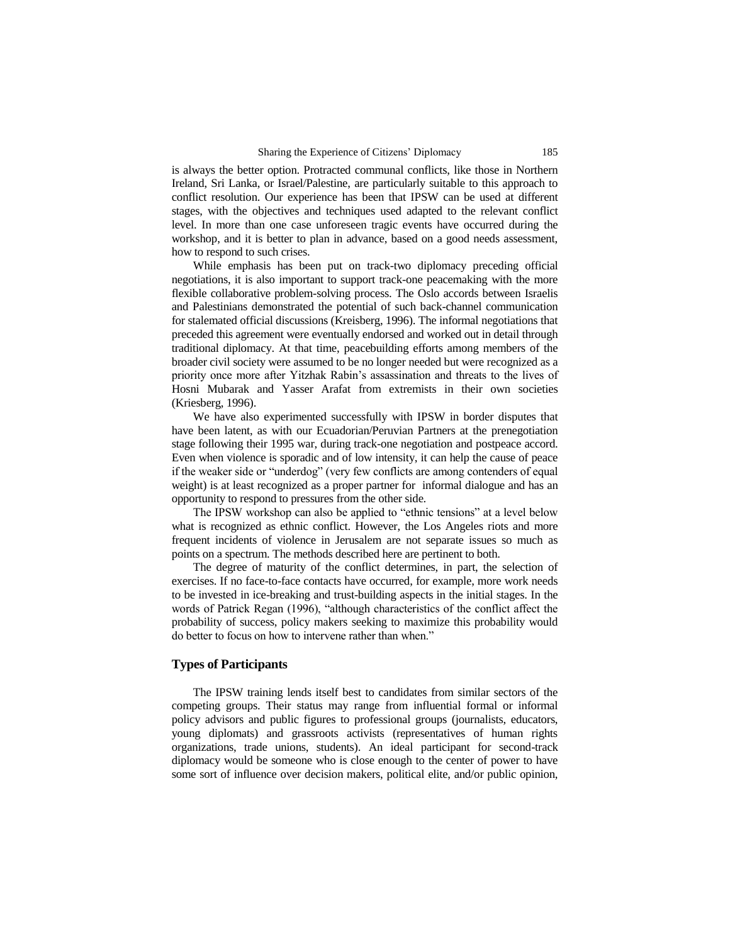is always the better option. Protracted communal conflicts, like those in Northern Ireland, Sri Lanka, or Israel/Palestine, are particularly suitable to this approach to conflict resolution. Our experience has been that IPSW can be used at different stages, with the objectives and techniques used adapted to the relevant conflict level. In more than one case unforeseen tragic events have occurred during the workshop, and it is better to plan in advance, based on a good needs assessment, how to respond to such crises.

While emphasis has been put on track-two diplomacy preceding official negotiations, it is also important to support track-one peacemaking with the more flexible collaborative problem-solving process. The Oslo accords between Israelis and Palestinians demonstrated the potential of such back-channel communication for stalemated official discussions (Kreisberg, 1996). The informal negotiations that preceded this agreement were eventually endorsed and worked out in detail through traditional diplomacy. At that time, peacebuilding efforts among members of the broader civil society were assumed to be no longer needed but were recognized as a priority once more after Yitzhak Rabin's assassination and threats to the lives of Hosni Mubarak and Yasser Arafat from extremists in their own societies (Kriesberg, 1996).

We have also experimented successfully with IPSW in border disputes that have been latent, as with our Ecuadorian/Peruvian Partners at the prenegotiation stage following their 1995 war, during track-one negotiation and postpeace accord. Even when violence is sporadic and of low intensity, it can help the cause of peace if the weaker side or "underdog" (very few conflicts are among contenders of equal weight) is at least recognized as a proper partner for informal dialogue and has an opportunity to respond to pressures from the other side.

The IPSW workshop can also be applied to "ethnic tensions" at a level below what is recognized as ethnic conflict. However, the Los Angeles riots and more frequent incidents of violence in Jerusalem are not separate issues so much as points on a spectrum. The methods described here are pertinent to both.

The degree of maturity of the conflict determines, in part, the selection of exercises. If no face-to-face contacts have occurred, for example, more work needs to be invested in ice-breaking and trust-building aspects in the initial stages. In the words of Patrick Regan (1996), "although characteristics of the conflict affect the probability of success, policy makers seeking to maximize this probability would do better to focus on how to intervene rather than when."

# **Types of Participants**

The IPSW training lends itself best to candidates from similar sectors of the competing groups. Their status may range from influential formal or informal policy advisors and public figures to professional groups (journalists, educators, young diplomats) and grassroots activists (representatives of human rights organizations, trade unions, students). An ideal participant for second-track diplomacy would be someone who is close enough to the center of power to have some sort of influence over decision makers, political elite, and/or public opinion,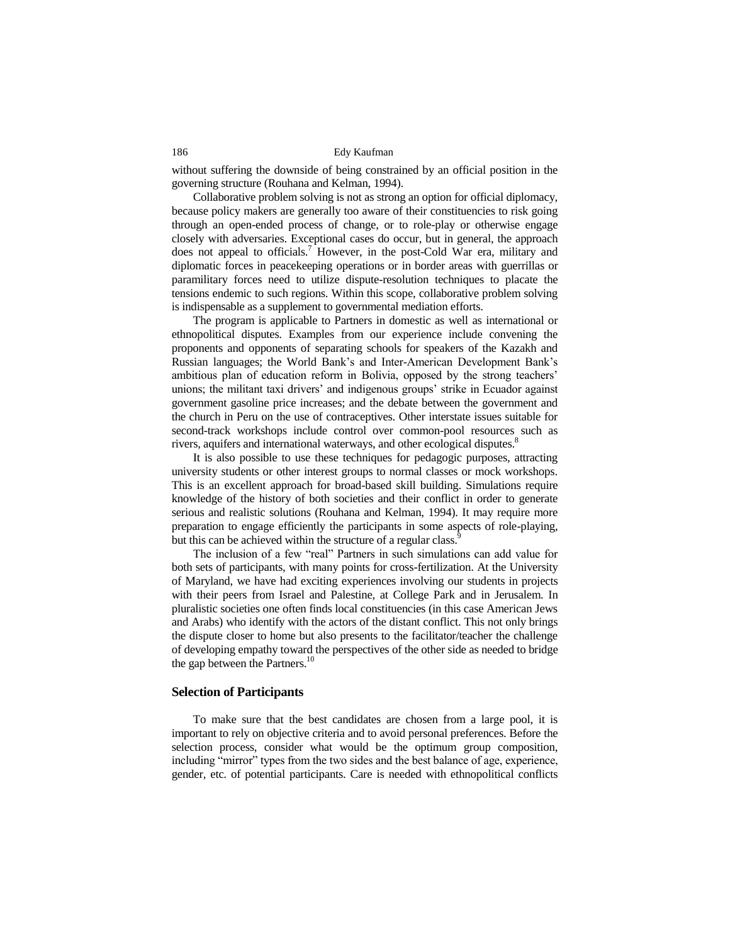without suffering the downside of being constrained by an official position in the governing structure (Rouhana and Kelman, 1994).

Collaborative problem solving is not as strong an option for official diplomacy, because policy makers are generally too aware of their constituencies to risk going through an open-ended process of change, or to role-play or otherwise engage closely with adversaries. Exceptional cases do occur, but in general, the approach does not appeal to officials.<sup>7</sup> However, in the post-Cold War era, military and diplomatic forces in peacekeeping operations or in border areas with guerrillas or paramilitary forces need to utilize dispute-resolution techniques to placate the tensions endemic to such regions. Within this scope, collaborative problem solving is indispensable as a supplement to governmental mediation efforts.

The program is applicable to Partners in domestic as well as international or ethnopolitical disputes. Examples from our experience include convening the proponents and opponents of separating schools for speakers of the Kazakh and Russian languages; the World Bank's and Inter-American Development Bank's ambitious plan of education reform in Bolivia, opposed by the strong teachers' unions; the militant taxi drivers' and indigenous groups' strike in Ecuador against government gasoline price increases; and the debate between the government and the church in Peru on the use of contraceptives. Other interstate issues suitable for second-track workshops include control over common-pool resources such as rivers, aquifers and international waterways, and other ecological disputes.<sup>8</sup>

It is also possible to use these techniques for pedagogic purposes, attracting university students or other interest groups to normal classes or mock workshops. This is an excellent approach for broad-based skill building. Simulations require knowledge of the history of both societies and their conflict in order to generate serious and realistic solutions (Rouhana and Kelman, 1994). It may require more preparation to engage efficiently the participants in some aspects of role-playing, but this can be achieved within the structure of a regular class.

The inclusion of a few "real" Partners in such simulations can add value for both sets of participants, with many points for cross-fertilization. At the University of Maryland, we have had exciting experiences involving our students in projects with their peers from Israel and Palestine, at College Park and in Jerusalem. In pluralistic societies one often finds local constituencies (in this case American Jews and Arabs) who identify with the actors of the distant conflict. This not only brings the dispute closer to home but also presents to the facilitator/teacher the challenge of developing empathy toward the perspectives of the other side as needed to bridge the gap between the Partners.<sup>10</sup>

#### **Selection of Participants**

To make sure that the best candidates are chosen from a large pool, it is important to rely on objective criteria and to avoid personal preferences. Before the selection process, consider what would be the optimum group composition, including "mirror" types from the two sides and the best balance of age, experience, gender, etc. of potential participants. Care is needed with ethnopolitical conflicts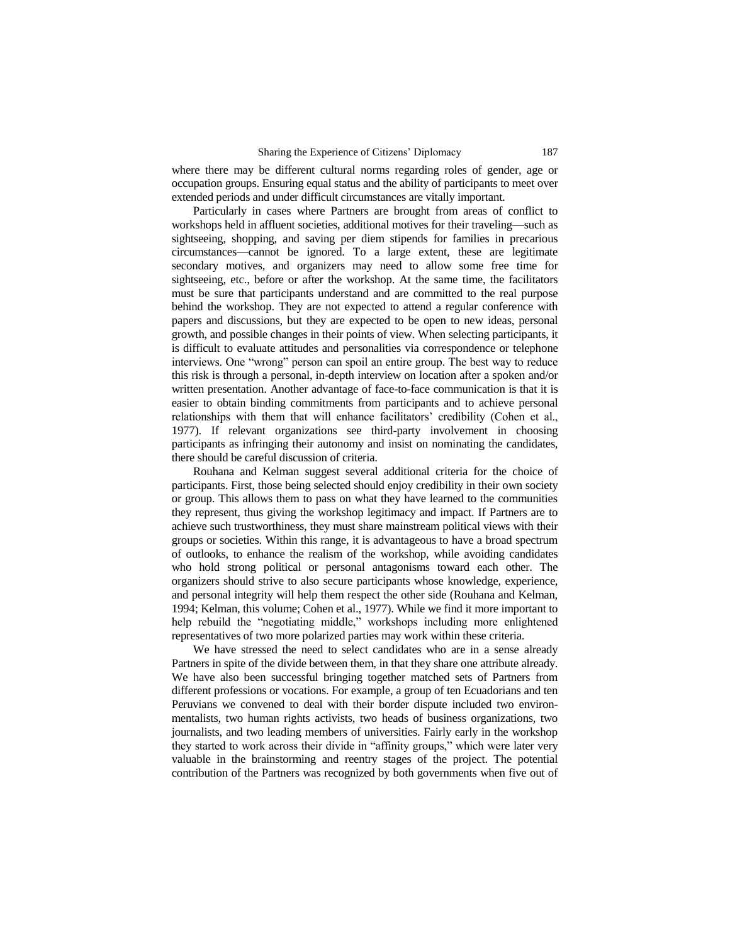#### Sharing the Experience of Citizens' Diplomacy 187

where there may be different cultural norms regarding roles of gender, age or occupation groups. Ensuring equal status and the ability of participants to meet over extended periods and under difficult circumstances are vitally important.

Particularly in cases where Partners are brought from areas of conflict to workshops held in affluent societies, additional motives for their traveling—such as sightseeing, shopping, and saving per diem stipends for families in precarious circumstances—cannot be ignored. To a large extent, these are legitimate secondary motives, and organizers may need to allow some free time for sightseeing, etc., before or after the workshop. At the same time, the facilitators must be sure that participants understand and are committed to the real purpose behind the workshop. They are not expected to attend a regular conference with papers and discussions, but they are expected to be open to new ideas, personal growth, and possible changes in their points of view. When selecting participants, it is difficult to evaluate attitudes and personalities via correspondence or telephone interviews. One "wrong" person can spoil an entire group. The best way to reduce this risk is through a personal, in-depth interview on location after a spoken and/or written presentation. Another advantage of face-to-face communication is that it is easier to obtain binding commitments from participants and to achieve personal relationships with them that will enhance facilitators' credibility (Cohen et al., 1977). If relevant organizations see third-party involvement in choosing participants as infringing their autonomy and insist on nominating the candidates, there should be careful discussion of criteria.

Rouhana and Kelman suggest several additional criteria for the choice of participants. First, those being selected should enjoy credibility in their own society or group. This allows them to pass on what they have learned to the communities they represent, thus giving the workshop legitimacy and impact. If Partners are to achieve such trustworthiness, they must share mainstream political views with their groups or societies. Within this range, it is advantageous to have a broad spectrum of outlooks, to enhance the realism of the workshop, while avoiding candidates who hold strong political or personal antagonisms toward each other. The organizers should strive to also secure participants whose knowledge, experience, and personal integrity will help them respect the other side (Rouhana and Kelman, 1994; Kelman, this volume; Cohen et al., 1977). While we find it more important to help rebuild the "negotiating middle," workshops including more enlightened representatives of two more polarized parties may work within these criteria.

We have stressed the need to select candidates who are in a sense already Partners in spite of the divide between them, in that they share one attribute already. We have also been successful bringing together matched sets of Partners from different professions or vocations. For example, a group of ten Ecuadorians and ten Peruvians we convened to deal with their border dispute included two environmentalists, two human rights activists, two heads of business organizations, two journalists, and two leading members of universities. Fairly early in the workshop they started to work across their divide in "affinity groups," which were later very valuable in the brainstorming and reentry stages of the project. The potential contribution of the Partners was recognized by both governments when five out of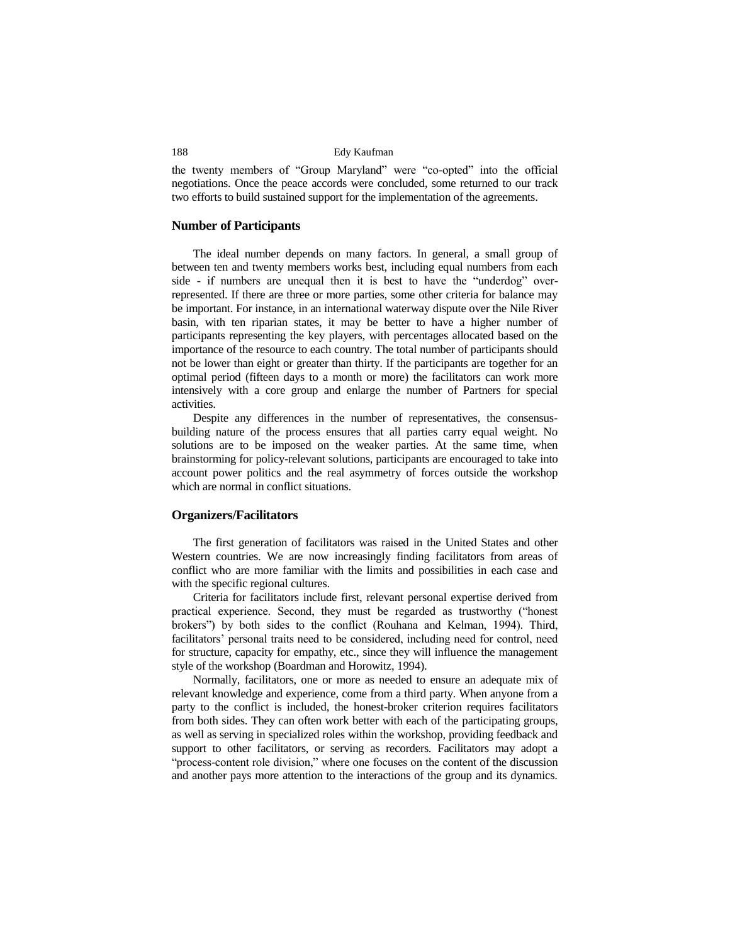the twenty members of "Group Maryland" were "co-opted" into the official negotiations. Once the peace accords were concluded, some returned to our track two efforts to build sustained support for the implementation of the agreements.

#### **Number of Participants**

The ideal number depends on many factors. In general, a small group of between ten and twenty members works best, including equal numbers from each side - if numbers are unequal then it is best to have the "underdog" overrepresented. If there are three or more parties, some other criteria for balance may be important. For instance, in an international waterway dispute over the Nile River basin, with ten riparian states, it may be better to have a higher number of participants representing the key players, with percentages allocated based on the importance of the resource to each country. The total number of participants should not be lower than eight or greater than thirty. If the participants are together for an optimal period (fifteen days to a month or more) the facilitators can work more intensively with a core group and enlarge the number of Partners for special activities.

Despite any differences in the number of representatives, the consensusbuilding nature of the process ensures that all parties carry equal weight. No solutions are to be imposed on the weaker parties. At the same time, when brainstorming for policy-relevant solutions, participants are encouraged to take into account power politics and the real asymmetry of forces outside the workshop which are normal in conflict situations.

## **Organizers/Facilitators**

The first generation of facilitators was raised in the United States and other Western countries. We are now increasingly finding facilitators from areas of conflict who are more familiar with the limits and possibilities in each case and with the specific regional cultures.

Criteria for facilitators include first, relevant personal expertise derived from practical experience. Second, they must be regarded as trustworthy ("honest brokers") by both sides to the conflict (Rouhana and Kelman, 1994). Third, facilitators' personal traits need to be considered, including need for control, need for structure, capacity for empathy, etc., since they will influence the management style of the workshop (Boardman and Horowitz, 1994).

Normally, facilitators, one or more as needed to ensure an adequate mix of relevant knowledge and experience, come from a third party. When anyone from a party to the conflict is included, the honest-broker criterion requires facilitators from both sides. They can often work better with each of the participating groups, as well as serving in specialized roles within the workshop, providing feedback and support to other facilitators, or serving as recorders. Facilitators may adopt a "process-content role division," where one focuses on the content of the discussion and another pays more attention to the interactions of the group and its dynamics.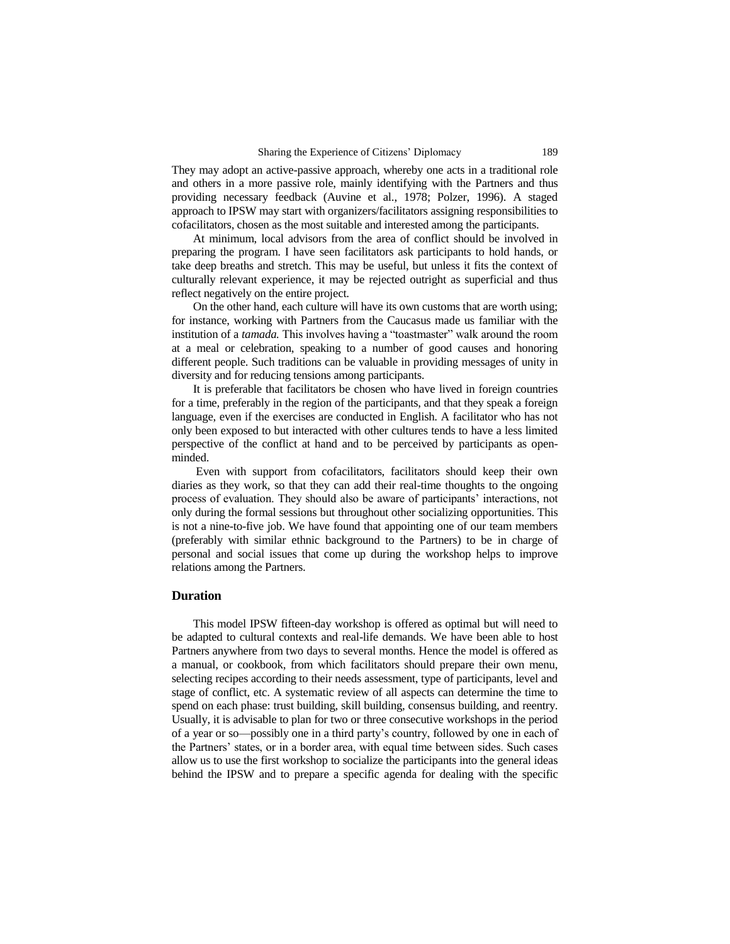They may adopt an active-passive approach, whereby one acts in a traditional role and others in a more passive role, mainly identifying with the Partners and thus providing necessary feedback (Auvine et al., 1978; Polzer, 1996). A staged approach to IPSW may start with organizers/facilitators assigning responsibilities to cofacilitators, chosen as the most suitable and interested among the participants.

At minimum, local advisors from the area of conflict should be involved in preparing the program. I have seen facilitators ask participants to hold hands, or take deep breaths and stretch. This may be useful, but unless it fits the context of culturally relevant experience, it may be rejected outright as superficial and thus reflect negatively on the entire project.

On the other hand, each culture will have its own customs that are worth using; for instance, working with Partners from the Caucasus made us familiar with the institution of a *tamada.* This involves having a "toastmaster" walk around the room at a meal or celebration, speaking to a number of good causes and honoring different people. Such traditions can be valuable in providing messages of unity in diversity and for reducing tensions among participants.

It is preferable that facilitators be chosen who have lived in foreign countries for a time, preferably in the region of the participants, and that they speak a foreign language, even if the exercises are conducted in English. A facilitator who has not only been exposed to but interacted with other cultures tends to have a less limited perspective of the conflict at hand and to be perceived by participants as openminded.

Even with support from cofacilitators, facilitators should keep their own diaries as they work, so that they can add their real-time thoughts to the ongoing process of evaluation. They should also be aware of participants' interactions, not only during the formal sessions but throughout other socializing opportunities. This is not a nine-to-five job. We have found that appointing one of our team members (preferably with similar ethnic background to the Partners) to be in charge of personal and social issues that come up during the workshop helps to improve relations among the Partners.

# **Duration**

This model IPSW fifteen-day workshop is offered as optimal but will need to be adapted to cultural contexts and real-life demands. We have been able to host Partners anywhere from two days to several months. Hence the model is offered as a manual, or cookbook, from which facilitators should prepare their own menu, selecting recipes according to their needs assessment, type of participants, level and stage of conflict, etc. A systematic review of all aspects can determine the time to spend on each phase: trust building, skill building, consensus building, and reentry. Usually, it is advisable to plan for two or three consecutive workshops in the period of a year or so—possibly one in a third party's country, followed by one in each of the Partners' states, or in a border area, with equal time between sides. Such cases allow us to use the first workshop to socialize the participants into the general ideas behind the IPSW and to prepare a specific agenda for dealing with the specific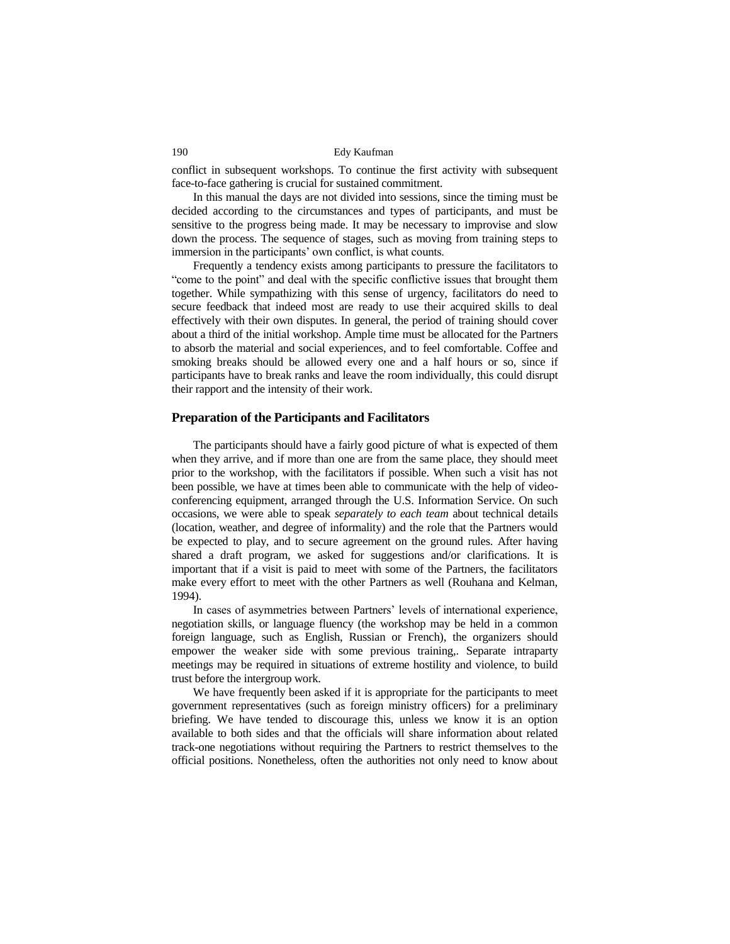conflict in subsequent workshops. To continue the first activity with subsequent face-to-face gathering is crucial for sustained commitment.

In this manual the days are not divided into sessions, since the timing must be decided according to the circumstances and types of participants, and must be sensitive to the progress being made. It may be necessary to improvise and slow down the process. The sequence of stages, such as moving from training steps to immersion in the participants' own conflict, is what counts.

Frequently a tendency exists among participants to pressure the facilitators to "come to the point" and deal with the specific conflictive issues that brought them together. While sympathizing with this sense of urgency, facilitators do need to secure feedback that indeed most are ready to use their acquired skills to deal effectively with their own disputes. In general, the period of training should cover about a third of the initial workshop. Ample time must be allocated for the Partners to absorb the material and social experiences, and to feel comfortable. Coffee and smoking breaks should be allowed every one and a half hours or so, since if participants have to break ranks and leave the room individually, this could disrupt their rapport and the intensity of their work.

#### **Preparation of the Participants and Facilitators**

The participants should have a fairly good picture of what is expected of them when they arrive, and if more than one are from the same place, they should meet prior to the workshop, with the facilitators if possible. When such a visit has not been possible, we have at times been able to communicate with the help of videoconferencing equipment, arranged through the U.S. Information Service. On such occasions, we were able to speak *separately to each team* about technical details (location, weather, and degree of informality) and the role that the Partners would be expected to play, and to secure agreement on the ground rules. After having shared a draft program, we asked for suggestions and/or clarifications. It is important that if a visit is paid to meet with some of the Partners, the facilitators make every effort to meet with the other Partners as well (Rouhana and Kelman, 1994).

In cases of asymmetries between Partners' levels of international experience, negotiation skills, or language fluency (the workshop may be held in a common foreign language, such as English, Russian or French), the organizers should empower the weaker side with some previous training,. Separate intraparty meetings may be required in situations of extreme hostility and violence, to build trust before the intergroup work.

We have frequently been asked if it is appropriate for the participants to meet government representatives (such as foreign ministry officers) for a preliminary briefing. We have tended to discourage this, unless we know it is an option available to both sides and that the officials will share information about related track-one negotiations without requiring the Partners to restrict themselves to the official positions. Nonetheless, often the authorities not only need to know about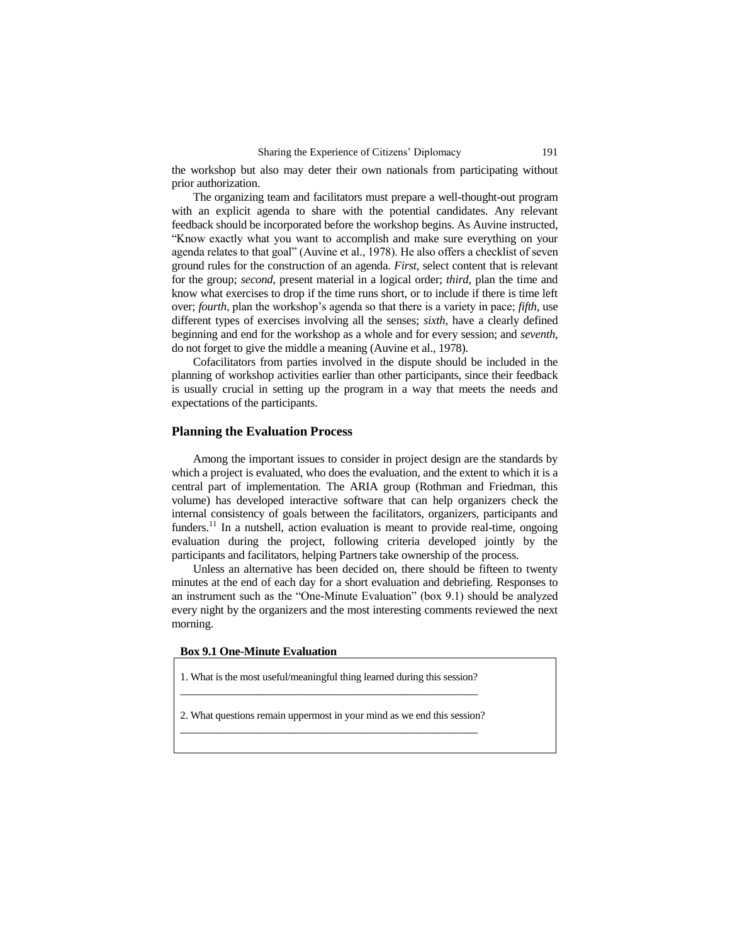the workshop but also may deter their own nationals from participating without prior authorization.

The organizing team and facilitators must prepare a well-thought-out program with an explicit agenda to share with the potential candidates. Any relevant feedback should be incorporated before the workshop begins. As Auvine instructed, "Know exactly what you want to accomplish and make sure everything on your agenda relates to that goal" (Auvine et al., 1978). He also offers a checklist of seven ground rules for the construction of an agenda. *First*, select content that is relevant for the group; *second*, present material in a logical order; *third*, plan the time and know what exercises to drop if the time runs short, or to include if there is time left over; *fourth*, plan the workshop's agenda so that there is a variety in pace; *fifth*, use different types of exercises involving all the senses; *sixth*, have a clearly defined beginning and end for the workshop as a whole and for every session; and *seventh*, do not forget to give the middle a meaning (Auvine et al., 1978).

Cofacilitators from parties involved in the dispute should be included in the planning of workshop activities earlier than other participants, since their feedback is usually crucial in setting up the program in a way that meets the needs and expectations of the participants.

# **Planning the Evaluation Process**

Among the important issues to consider in project design are the standards by which a project is evaluated, who does the evaluation, and the extent to which it is a central part of implementation. The ARIA group (Rothman and Friedman, this volume) has developed interactive software that can help organizers check the internal consistency of goals between the facilitators, organizers, participants and funders.<sup>11</sup> In a nutshell, action evaluation is meant to provide real-time, ongoing evaluation during the project, following criteria developed jointly by the participants and facilitators, helping Partners take ownership of the process.

Unless an alternative has been decided on, there should be fifteen to twenty minutes at the end of each day for a short evaluation and debriefing. Responses to an instrument such as the "One-Minute Evaluation" (box 9.1) should be analyzed every night by the organizers and the most interesting comments reviewed the next morning.

#### **Box 9.1 One-Minute Evaluation**

1. What is the most useful/meaningful thing learned during this session? \_\_\_\_\_\_\_\_\_\_\_\_\_\_\_\_\_\_\_\_\_\_\_\_\_\_\_\_\_\_\_\_\_\_\_\_\_\_\_\_\_\_\_\_\_\_\_\_\_\_

2. What questions remain uppermost in your mind as we end this session? \_\_\_\_\_\_\_\_\_\_\_\_\_\_\_\_\_\_\_\_\_\_\_\_\_\_\_\_\_\_\_\_\_\_\_\_\_\_\_\_\_\_\_\_\_\_\_\_\_\_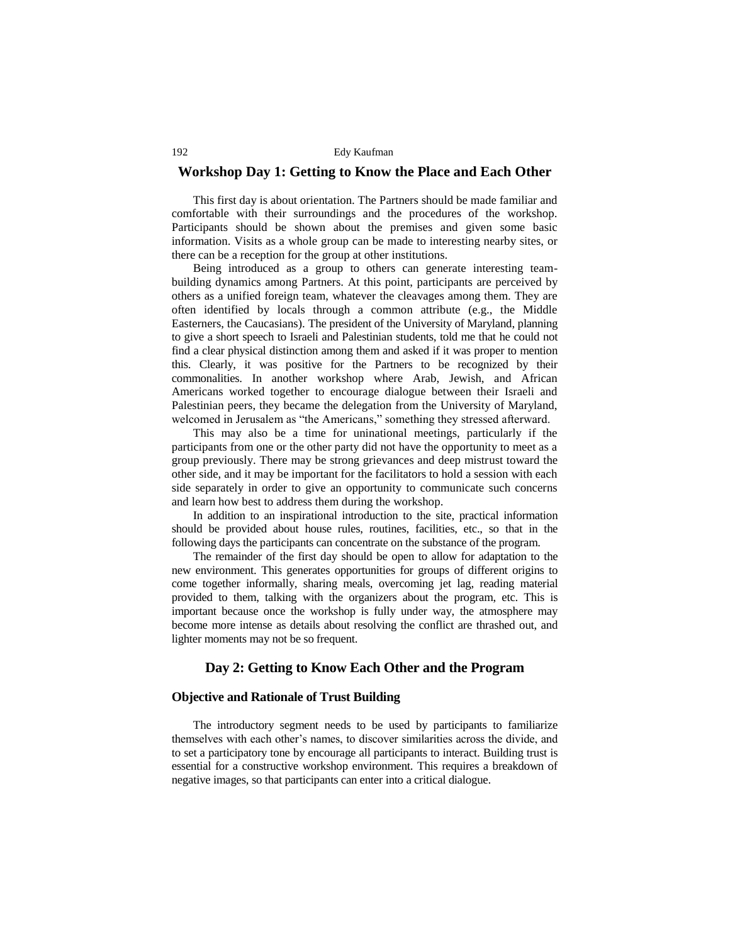# **Workshop Day 1: Getting to Know the Place and Each Other**

This first day is about orientation. The Partners should be made familiar and comfortable with their surroundings and the procedures of the workshop. Participants should be shown about the premises and given some basic information. Visits as a whole group can be made to interesting nearby sites, or there can be a reception for the group at other institutions.

Being introduced as a group to others can generate interesting teambuilding dynamics among Partners. At this point, participants are perceived by others as a unified foreign team, whatever the cleavages among them. They are often identified by locals through a common attribute (e.g., the Middle Easterners, the Caucasians). The president of the University of Maryland, planning to give a short speech to Israeli and Palestinian students, told me that he could not find a clear physical distinction among them and asked if it was proper to mention this. Clearly, it was positive for the Partners to be recognized by their commonalities. In another workshop where Arab, Jewish, and African Americans worked together to encourage dialogue between their Israeli and Palestinian peers, they became the delegation from the University of Maryland, welcomed in Jerusalem as "the Americans," something they stressed afterward.

This may also be a time for uninational meetings, particularly if the participants from one or the other party did not have the opportunity to meet as a group previously. There may be strong grievances and deep mistrust toward the other side, and it may be important for the facilitators to hold a session with each side separately in order to give an opportunity to communicate such concerns and learn how best to address them during the workshop.

In addition to an inspirational introduction to the site, practical information should be provided about house rules, routines, facilities, etc., so that in the following days the participants can concentrate on the substance of the program.

The remainder of the first day should be open to allow for adaptation to the new environment. This generates opportunities for groups of different origins to come together informally, sharing meals, overcoming jet lag, reading material provided to them, talking with the organizers about the program, etc. This is important because once the workshop is fully under way, the atmosphere may become more intense as details about resolving the conflict are thrashed out, and lighter moments may not be so frequent.

# **Day 2: Getting to Know Each Other and the Program**

# **Objective and Rationale of Trust Building**

The introductory segment needs to be used by participants to familiarize themselves with each other's names, to discover similarities across the divide, and to set a participatory tone by encourage all participants to interact. Building trust is essential for a constructive workshop environment. This requires a breakdown of negative images, so that participants can enter into a critical dialogue.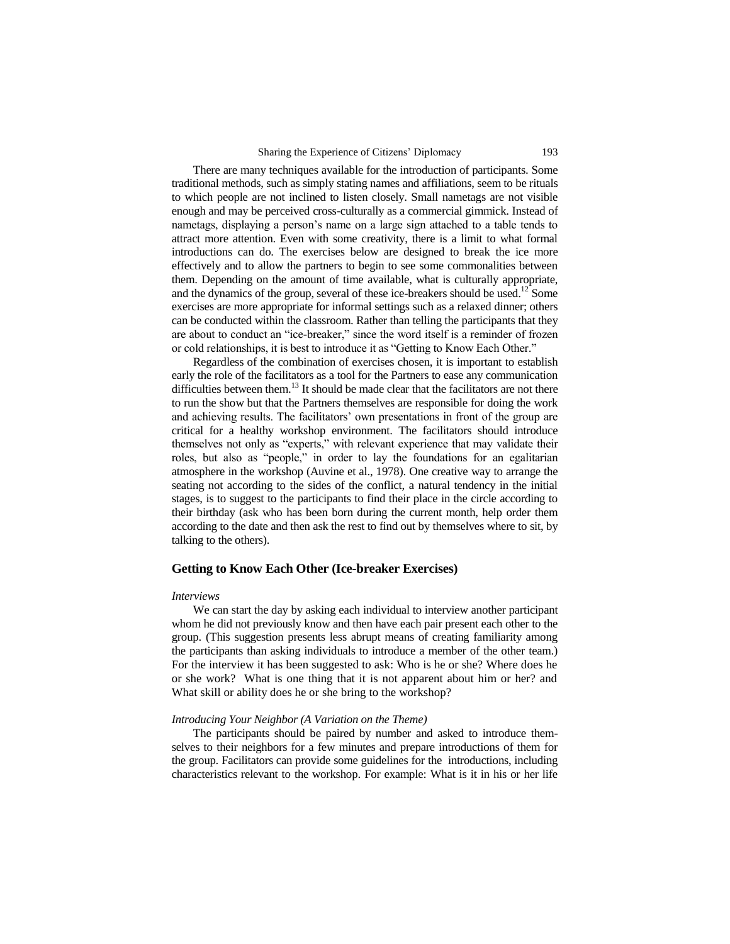There are many techniques available for the introduction of participants. Some traditional methods, such as simply stating names and affiliations, seem to be rituals to which people are not inclined to listen closely. Small nametags are not visible enough and may be perceived cross-culturally as a commercial gimmick. Instead of nametags, displaying a person's name on a large sign attached to a table tends to attract more attention. Even with some creativity, there is a limit to what formal introductions can do. The exercises below are designed to break the ice more effectively and to allow the partners to begin to see some commonalities between them. Depending on the amount of time available, what is culturally appropriate, and the dynamics of the group, several of these ice-breakers should be used.<sup>12</sup> Some exercises are more appropriate for informal settings such as a relaxed dinner; others can be conducted within the classroom. Rather than telling the participants that they are about to conduct an "ice-breaker," since the word itself is a reminder of frozen or cold relationships, it is best to introduce it as "Getting to Know Each Other."

Regardless of the combination of exercises chosen, it is important to establish early the role of the facilitators as a tool for the Partners to ease any communication difficulties between them. $^{13}$  It should be made clear that the facilitators are not there to run the show but that the Partners themselves are responsible for doing the work and achieving results. The facilitators' own presentations in front of the group are critical for a healthy workshop environment. The facilitators should introduce themselves not only as "experts," with relevant experience that may validate their roles, but also as "people," in order to lay the foundations for an egalitarian atmosphere in the workshop (Auvine et al., 1978). One creative way to arrange the seating not according to the sides of the conflict, a natural tendency in the initial stages, is to suggest to the participants to find their place in the circle according to their birthday (ask who has been born during the current month, help order them according to the date and then ask the rest to find out by themselves where to sit, by talking to the others).

#### **Getting to Know Each Other (Ice-breaker Exercises)**

#### *Interviews*

We can start the day by asking each individual to interview another participant whom he did not previously know and then have each pair present each other to the group. (This suggestion presents less abrupt means of creating familiarity among the participants than asking individuals to introduce a member of the other team.) For the interview it has been suggested to ask: Who is he or she? Where does he or she work? What is one thing that it is not apparent about him or her? and What skill or ability does he or she bring to the workshop?

#### *Introducing Your Neighbor (A Variation on the Theme)*

The participants should be paired by number and asked to introduce themselves to their neighbors for a few minutes and prepare introductions of them for the group. Facilitators can provide some guidelines for the introductions, including characteristics relevant to the workshop. For example: What is it in his or her life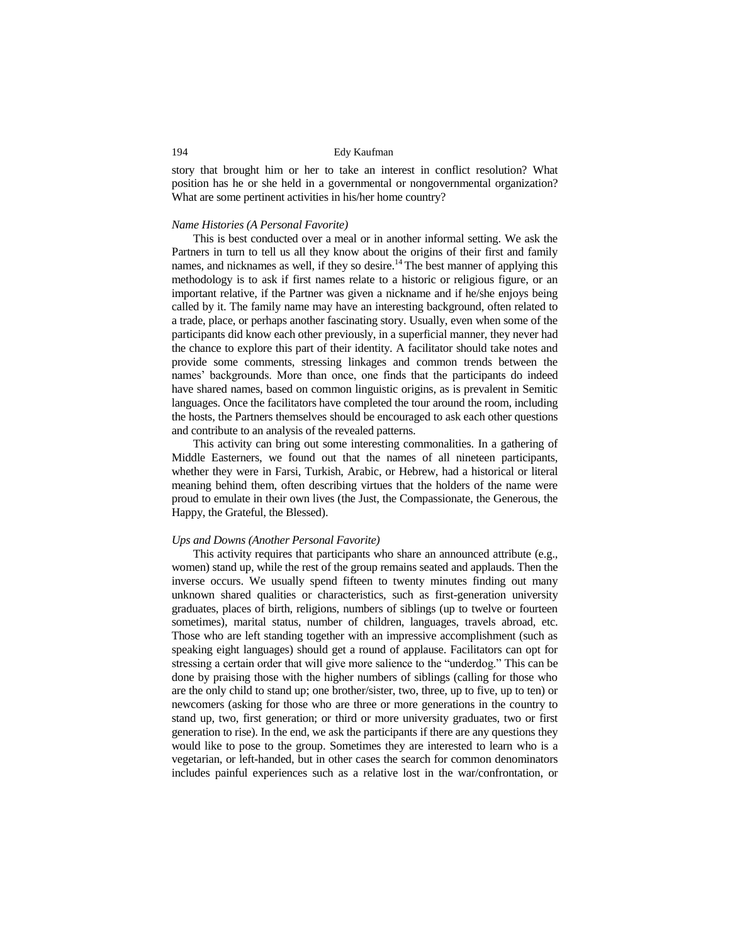story that brought him or her to take an interest in conflict resolution? What position has he or she held in a governmental or nongovernmental organization? What are some pertinent activities in his/her home country?

#### *Name Histories (A Personal Favorite)*

This is best conducted over a meal or in another informal setting. We ask the Partners in turn to tell us all they know about the origins of their first and family names, and nicknames as well, if they so desire.<sup>14</sup> The best manner of applying this methodology is to ask if first names relate to a historic or religious figure, or an important relative, if the Partner was given a nickname and if he/she enjoys being called by it. The family name may have an interesting background, often related to a trade, place, or perhaps another fascinating story. Usually, even when some of the participants did know each other previously, in a superficial manner, they never had the chance to explore this part of their identity. A facilitator should take notes and provide some comments, stressing linkages and common trends between the names' backgrounds. More than once, one finds that the participants do indeed have shared names, based on common linguistic origins, as is prevalent in Semitic languages. Once the facilitators have completed the tour around the room, including the hosts, the Partners themselves should be encouraged to ask each other questions and contribute to an analysis of the revealed patterns.

This activity can bring out some interesting commonalities. In a gathering of Middle Easterners, we found out that the names of all nineteen participants, whether they were in Farsi, Turkish, Arabic, or Hebrew, had a historical or literal meaning behind them, often describing virtues that the holders of the name were proud to emulate in their own lives (the Just, the Compassionate, the Generous, the Happy, the Grateful, the Blessed).

#### *Ups and Downs (Another Personal Favorite)*

This activity requires that participants who share an announced attribute (e.g., women) stand up, while the rest of the group remains seated and applauds. Then the inverse occurs. We usually spend fifteen to twenty minutes finding out many unknown shared qualities or characteristics, such as first-generation university graduates, places of birth, religions, numbers of siblings (up to twelve or fourteen sometimes), marital status, number of children, languages, travels abroad, etc. Those who are left standing together with an impressive accomplishment (such as speaking eight languages) should get a round of applause. Facilitators can opt for stressing a certain order that will give more salience to the "underdog." This can be done by praising those with the higher numbers of siblings (calling for those who are the only child to stand up; one brother/sister, two, three, up to five, up to ten) or newcomers (asking for those who are three or more generations in the country to stand up, two, first generation; or third or more university graduates, two or first generation to rise). In the end, we ask the participants if there are any questions they would like to pose to the group. Sometimes they are interested to learn who is a vegetarian, or left-handed, but in other cases the search for common denominators includes painful experiences such as a relative lost in the war/confrontation, or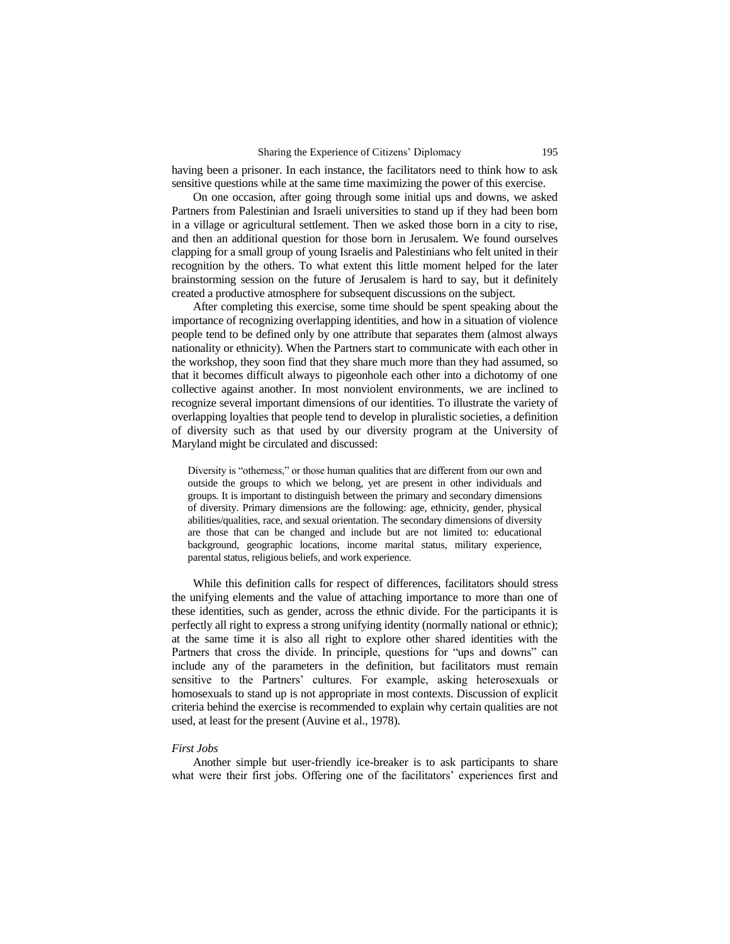having been a prisoner. In each instance, the facilitators need to think how to ask sensitive questions while at the same time maximizing the power of this exercise.

On one occasion, after going through some initial ups and downs, we asked Partners from Palestinian and Israeli universities to stand up if they had been born in a village or agricultural settlement. Then we asked those born in a city to rise, and then an additional question for those born in Jerusalem. We found ourselves clapping for a small group of young Israelis and Palestinians who felt united in their recognition by the others. To what extent this little moment helped for the later brainstorming session on the future of Jerusalem is hard to say, but it definitely created a productive atmosphere for subsequent discussions on the subject.

After completing this exercise, some time should be spent speaking about the importance of recognizing overlapping identities, and how in a situation of violence people tend to be defined only by one attribute that separates them (almost always nationality or ethnicity). When the Partners start to communicate with each other in the workshop, they soon find that they share much more than they had assumed, so that it becomes difficult always to pigeonhole each other into a dichotomy of one collective against another. In most nonviolent environments, we are inclined to recognize several important dimensions of our identities. To illustrate the variety of overlapping loyalties that people tend to develop in pluralistic societies, a definition of diversity such as that used by our diversity program at the University of Maryland might be circulated and discussed:

Diversity is "otherness," or those human qualities that are different from our own and outside the groups to which we belong, yet are present in other individuals and groups. It is important to distinguish between the primary and secondary dimensions of diversity. Primary dimensions are the following: age, ethnicity, gender, physical abilities/qualities, race, and sexual orientation. The secondary dimensions of diversity are those that can be changed and include but are not limited to: educational background, geographic locations, income marital status, military experience, parental status, religious beliefs, and work experience.

While this definition calls for respect of differences, facilitators should stress the unifying elements and the value of attaching importance to more than one of these identities, such as gender, across the ethnic divide. For the participants it is perfectly all right to express a strong unifying identity (normally national or ethnic); at the same time it is also all right to explore other shared identities with the Partners that cross the divide. In principle, questions for "ups and downs" can include any of the parameters in the definition, but facilitators must remain sensitive to the Partners' cultures. For example, asking heterosexuals or homosexuals to stand up is not appropriate in most contexts. Discussion of explicit criteria behind the exercise is recommended to explain why certain qualities are not used, at least for the present (Auvine et al., 1978).

#### *First Jobs*

Another simple but user-friendly ice-breaker is to ask participants to share what were their first jobs. Offering one of the facilitators' experiences first and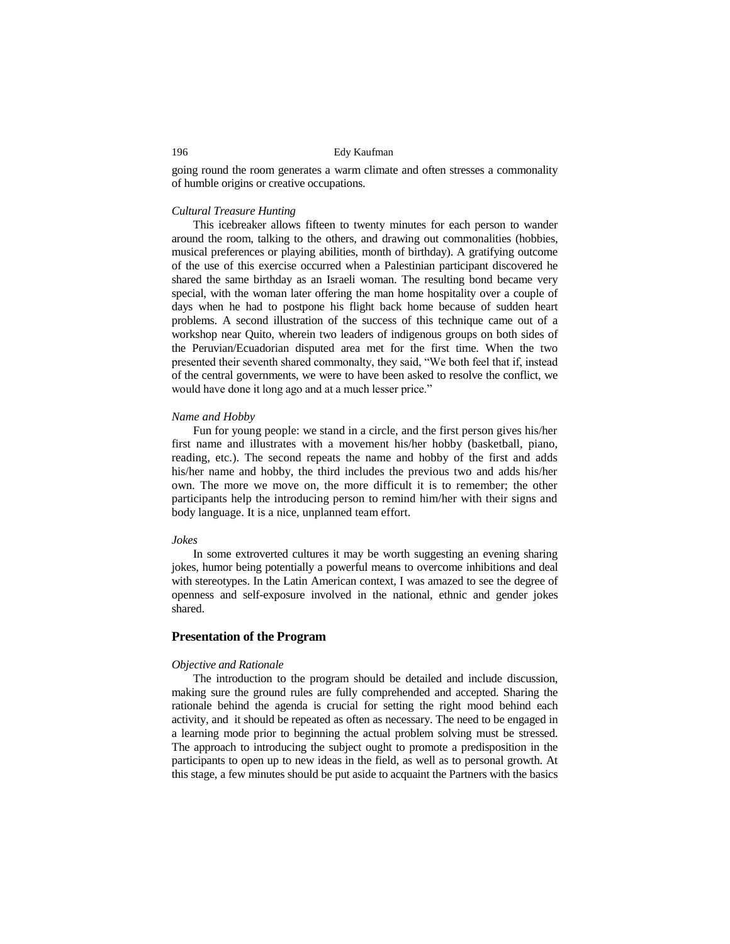going round the room generates a warm climate and often stresses a commonality of humble origins or creative occupations.

# *Cultural Treasure Hunting*

This icebreaker allows fifteen to twenty minutes for each person to wander around the room, talking to the others, and drawing out commonalities (hobbies, musical preferences or playing abilities, month of birthday). A gratifying outcome of the use of this exercise occurred when a Palestinian participant discovered he shared the same birthday as an Israeli woman. The resulting bond became very special, with the woman later offering the man home hospitality over a couple of days when he had to postpone his flight back home because of sudden heart problems. A second illustration of the success of this technique came out of a workshop near Quito, wherein two leaders of indigenous groups on both sides of the Peruvian/Ecuadorian disputed area met for the first time. When the two presented their seventh shared commonalty, they said, "We both feel that if, instead of the central governments, we were to have been asked to resolve the conflict, we would have done it long ago and at a much lesser price."

#### *Name and Hobby*

Fun for young people: we stand in a circle, and the first person gives his/her first name and illustrates with a movement his/her hobby (basketball, piano, reading, etc.). The second repeats the name and hobby of the first and adds his/her name and hobby, the third includes the previous two and adds his/her own. The more we move on, the more difficult it is to remember; the other participants help the introducing person to remind him/her with their signs and body language. It is a nice, unplanned team effort.

#### *Jokes*

In some extroverted cultures it may be worth suggesting an evening sharing jokes, humor being potentially a powerful means to overcome inhibitions and deal with stereotypes. In the Latin American context, I was amazed to see the degree of openness and self-exposure involved in the national, ethnic and gender jokes shared.

#### **Presentation of the Program**

#### *Objective and Rationale*

The introduction to the program should be detailed and include discussion, making sure the ground rules are fully comprehended and accepted. Sharing the rationale behind the agenda is crucial for setting the right mood behind each activity, and it should be repeated as often as necessary. The need to be engaged in a learning mode prior to beginning the actual problem solving must be stressed. The approach to introducing the subject ought to promote a predisposition in the participants to open up to new ideas in the field, as well as to personal growth. At this stage, a few minutes should be put aside to acquaint the Partners with the basics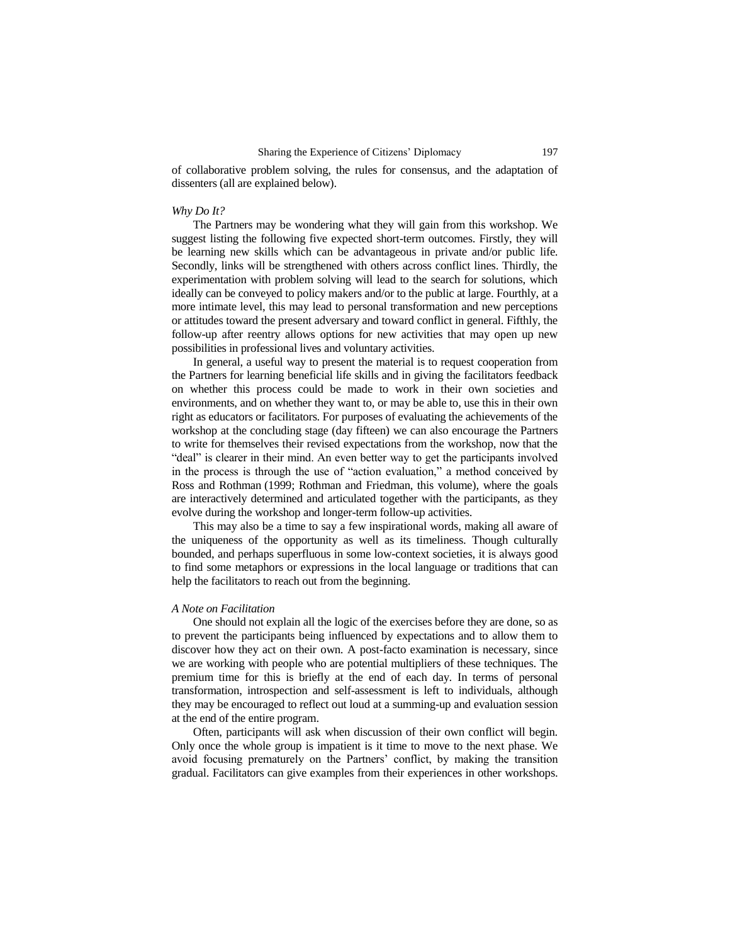of collaborative problem solving, the rules for consensus, and the adaptation of dissenters (all are explained below).

#### *Why Do It?*

The Partners may be wondering what they will gain from this workshop. We suggest listing the following five expected short-term outcomes. Firstly, they will be learning new skills which can be advantageous in private and/or public life. Secondly, links will be strengthened with others across conflict lines. Thirdly, the experimentation with problem solving will lead to the search for solutions, which ideally can be conveyed to policy makers and/or to the public at large. Fourthly, at a more intimate level, this may lead to personal transformation and new perceptions or attitudes toward the present adversary and toward conflict in general. Fifthly, the follow-up after reentry allows options for new activities that may open up new possibilities in professional lives and voluntary activities.

In general, a useful way to present the material is to request cooperation from the Partners for learning beneficial life skills and in giving the facilitators feedback on whether this process could be made to work in their own societies and environments, and on whether they want to, or may be able to, use this in their own right as educators or facilitators. For purposes of evaluating the achievements of the workshop at the concluding stage (day fifteen) we can also encourage the Partners to write for themselves their revised expectations from the workshop, now that the "deal" is clearer in their mind. An even better way to get the participants involved in the process is through the use of "action evaluation," a method conceived by Ross and Rothman (1999; Rothman and Friedman, this volume), where the goals are interactively determined and articulated together with the participants, as they evolve during the workshop and longer-term follow-up activities.

This may also be a time to say a few inspirational words, making all aware of the uniqueness of the opportunity as well as its timeliness. Though culturally bounded, and perhaps superfluous in some low-context societies, it is always good to find some metaphors or expressions in the local language or traditions that can help the facilitators to reach out from the beginning.

#### *A Note on Facilitation*

One should not explain all the logic of the exercises before they are done, so as to prevent the participants being influenced by expectations and to allow them to discover how they act on their own. A post-facto examination is necessary, since we are working with people who are potential multipliers of these techniques. The premium time for this is briefly at the end of each day. In terms of personal transformation, introspection and self-assessment is left to individuals, although they may be encouraged to reflect out loud at a summing-up and evaluation session at the end of the entire program.

Often, participants will ask when discussion of their own conflict will begin. Only once the whole group is impatient is it time to move to the next phase. We avoid focusing prematurely on the Partners' conflict, by making the transition gradual. Facilitators can give examples from their experiences in other workshops.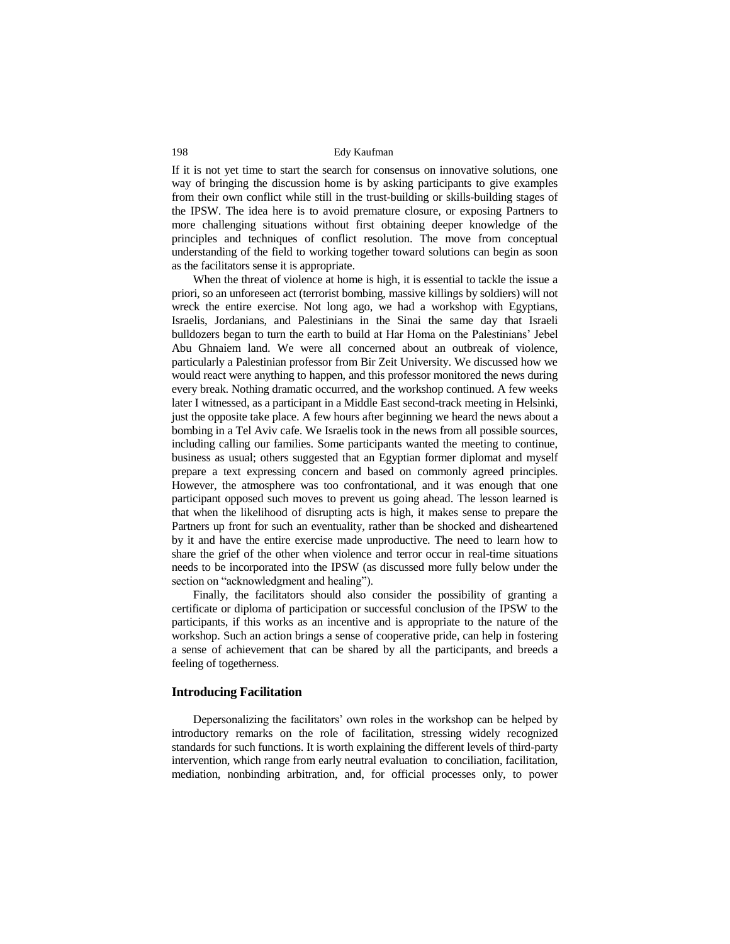If it is not yet time to start the search for consensus on innovative solutions, one way of bringing the discussion home is by asking participants to give examples from their own conflict while still in the trust-building or skills-building stages of the IPSW. The idea here is to avoid premature closure, or exposing Partners to more challenging situations without first obtaining deeper knowledge of the principles and techniques of conflict resolution. The move from conceptual understanding of the field to working together toward solutions can begin as soon as the facilitators sense it is appropriate.

When the threat of violence at home is high, it is essential to tackle the issue a priori, so an unforeseen act (terrorist bombing, massive killings by soldiers) will not wreck the entire exercise. Not long ago, we had a workshop with Egyptians, Israelis, Jordanians, and Palestinians in the Sinai the same day that Israeli bulldozers began to turn the earth to build at Har Homa on the Palestinians' Jebel Abu Ghnaiem land. We were all concerned about an outbreak of violence, particularly a Palestinian professor from Bir Zeit University. We discussed how we would react were anything to happen, and this professor monitored the news during every break. Nothing dramatic occurred, and the workshop continued. A few weeks later I witnessed, as a participant in a Middle East second-track meeting in Helsinki, just the opposite take place. A few hours after beginning we heard the news about a bombing in a Tel Aviv cafe. We Israelis took in the news from all possible sources, including calling our families. Some participants wanted the meeting to continue, business as usual; others suggested that an Egyptian former diplomat and myself prepare a text expressing concern and based on commonly agreed principles. However, the atmosphere was too confrontational, and it was enough that one participant opposed such moves to prevent us going ahead. The lesson learned is that when the likelihood of disrupting acts is high, it makes sense to prepare the Partners up front for such an eventuality, rather than be shocked and disheartened by it and have the entire exercise made unproductive. The need to learn how to share the grief of the other when violence and terror occur in real-time situations needs to be incorporated into the IPSW (as discussed more fully below under the section on "acknowledgment and healing").

Finally, the facilitators should also consider the possibility of granting a certificate or diploma of participation or successful conclusion of the IPSW to the participants, if this works as an incentive and is appropriate to the nature of the workshop. Such an action brings a sense of cooperative pride, can help in fostering a sense of achievement that can be shared by all the participants, and breeds a feeling of togetherness.

#### **Introducing Facilitation**

Depersonalizing the facilitators' own roles in the workshop can be helped by introductory remarks on the role of facilitation, stressing widely recognized standards for such functions. It is worth explaining the different levels of third-party intervention, which range from early neutral evaluation to conciliation, facilitation, mediation, nonbinding arbitration, and, for official processes only, to power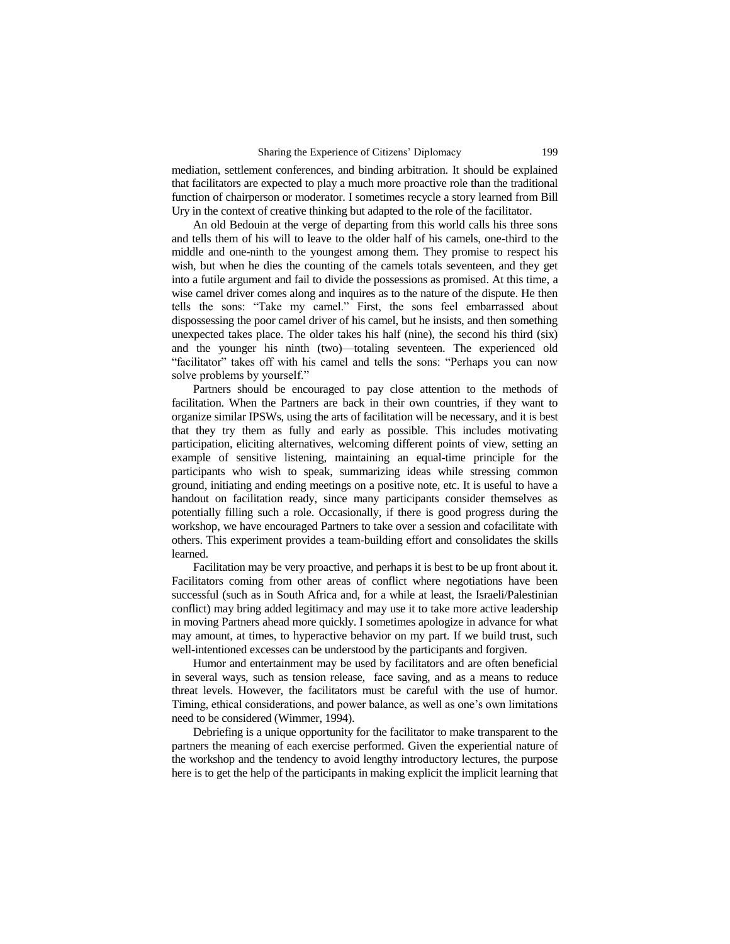mediation, settlement conferences, and binding arbitration. It should be explained that facilitators are expected to play a much more proactive role than the traditional function of chairperson or moderator. I sometimes recycle a story learned from Bill Ury in the context of creative thinking but adapted to the role of the facilitator.

An old Bedouin at the verge of departing from this world calls his three sons and tells them of his will to leave to the older half of his camels, one-third to the middle and one-ninth to the youngest among them. They promise to respect his wish, but when he dies the counting of the camels totals seventeen, and they get into a futile argument and fail to divide the possessions as promised. At this time, a wise camel driver comes along and inquires as to the nature of the dispute. He then tells the sons: "Take my camel." First, the sons feel embarrassed about dispossessing the poor camel driver of his camel, but he insists, and then something unexpected takes place. The older takes his half (nine), the second his third (six) and the younger his ninth (two)—totaling seventeen. The experienced old "facilitator" takes off with his camel and tells the sons: "Perhaps you can now solve problems by yourself."

Partners should be encouraged to pay close attention to the methods of facilitation. When the Partners are back in their own countries, if they want to organize similar IPSWs, using the arts of facilitation will be necessary, and it is best that they try them as fully and early as possible. This includes motivating participation, eliciting alternatives, welcoming different points of view, setting an example of sensitive listening, maintaining an equal-time principle for the participants who wish to speak, summarizing ideas while stressing common ground, initiating and ending meetings on a positive note, etc. It is useful to have a handout on facilitation ready, since many participants consider themselves as potentially filling such a role. Occasionally, if there is good progress during the workshop, we have encouraged Partners to take over a session and cofacilitate with others. This experiment provides a team-building effort and consolidates the skills learned.

Facilitation may be very proactive, and perhaps it is best to be up front about it. Facilitators coming from other areas of conflict where negotiations have been successful (such as in South Africa and, for a while at least, the Israeli/Palestinian conflict) may bring added legitimacy and may use it to take more active leadership in moving Partners ahead more quickly. I sometimes apologize in advance for what may amount, at times, to hyperactive behavior on my part. If we build trust, such well-intentioned excesses can be understood by the participants and forgiven.

Humor and entertainment may be used by facilitators and are often beneficial in several ways, such as tension release, face saving, and as a means to reduce threat levels. However, the facilitators must be careful with the use of humor. Timing, ethical considerations, and power balance, as well as one's own limitations need to be considered (Wimmer, 1994).

Debriefing is a unique opportunity for the facilitator to make transparent to the partners the meaning of each exercise performed. Given the experiential nature of the workshop and the tendency to avoid lengthy introductory lectures, the purpose here is to get the help of the participants in making explicit the implicit learning that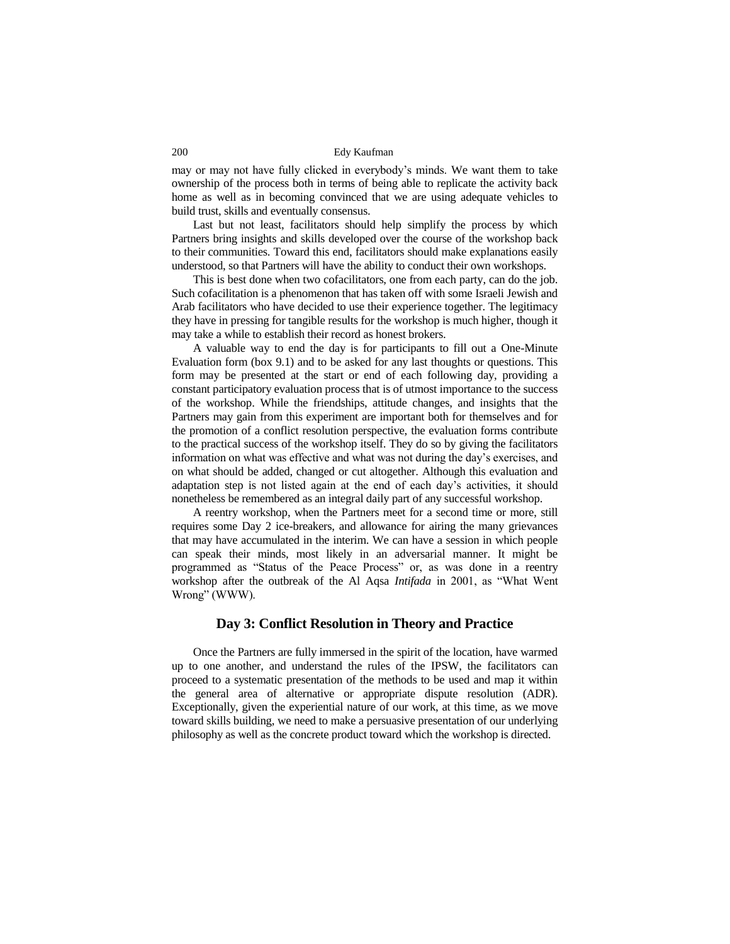may or may not have fully clicked in everybody's minds. We want them to take ownership of the process both in terms of being able to replicate the activity back home as well as in becoming convinced that we are using adequate vehicles to build trust, skills and eventually consensus.

Last but not least, facilitators should help simplify the process by which Partners bring insights and skills developed over the course of the workshop back to their communities. Toward this end, facilitators should make explanations easily understood, so that Partners will have the ability to conduct their own workshops.

This is best done when two cofacilitators, one from each party, can do the job. Such cofacilitation is a phenomenon that has taken off with some Israeli Jewish and Arab facilitators who have decided to use their experience together. The legitimacy they have in pressing for tangible results for the workshop is much higher, though it may take a while to establish their record as honest brokers.

A valuable way to end the day is for participants to fill out a One-Minute Evaluation form (box 9.1) and to be asked for any last thoughts or questions. This form may be presented at the start or end of each following day, providing a constant participatory evaluation process that is of utmost importance to the success of the workshop. While the friendships, attitude changes, and insights that the Partners may gain from this experiment are important both for themselves and for the promotion of a conflict resolution perspective, the evaluation forms contribute to the practical success of the workshop itself. They do so by giving the facilitators information on what was effective and what was not during the day's exercises, and on what should be added, changed or cut altogether. Although this evaluation and adaptation step is not listed again at the end of each day's activities, it should nonetheless be remembered as an integral daily part of any successful workshop.

A reentry workshop, when the Partners meet for a second time or more, still requires some Day 2 ice-breakers, and allowance for airing the many grievances that may have accumulated in the interim. We can have a session in which people can speak their minds, most likely in an adversarial manner. It might be programmed as "Status of the Peace Process" or, as was done in a reentry workshop after the outbreak of the Al Aqsa *Intifada* in 2001, as "What Went Wrong" (WWW).

# **Day 3: Conflict Resolution in Theory and Practice**

Once the Partners are fully immersed in the spirit of the location, have warmed up to one another, and understand the rules of the IPSW, the facilitators can proceed to a systematic presentation of the methods to be used and map it within the general area of alternative or appropriate dispute resolution (ADR). Exceptionally, given the experiential nature of our work, at this time, as we move toward skills building, we need to make a persuasive presentation of our underlying philosophy as well as the concrete product toward which the workshop is directed.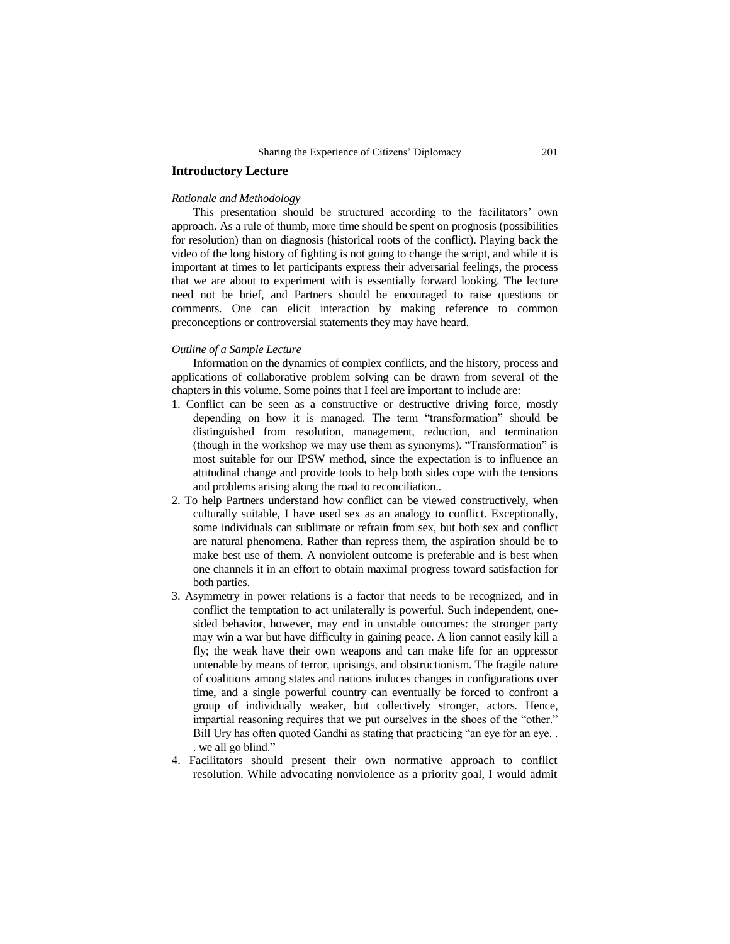# **Introductory Lecture**

#### *Rationale and Methodology*

This presentation should be structured according to the facilitators' own approach. As a rule of thumb, more time should be spent on prognosis (possibilities for resolution) than on diagnosis (historical roots of the conflict). Playing back the video of the long history of fighting is not going to change the script, and while it is important at times to let participants express their adversarial feelings, the process that we are about to experiment with is essentially forward looking. The lecture need not be brief, and Partners should be encouraged to raise questions or comments. One can elicit interaction by making reference to common preconceptions or controversial statements they may have heard.

# *Outline of a Sample Lecture*

Information on the dynamics of complex conflicts, and the history, process and applications of collaborative problem solving can be drawn from several of the chapters in this volume. Some points that I feel are important to include are:

- 1. Conflict can be seen as a constructive or destructive driving force, mostly depending on how it is managed. The term "transformation" should be distinguished from resolution, management, reduction, and termination (though in the workshop we may use them as synonyms). "Transformation" is most suitable for our IPSW method, since the expectation is to influence an attitudinal change and provide tools to help both sides cope with the tensions and problems arising along the road to reconciliation..
- 2. To help Partners understand how conflict can be viewed constructively, when culturally suitable, I have used sex as an analogy to conflict. Exceptionally, some individuals can sublimate or refrain from sex, but both sex and conflict are natural phenomena. Rather than repress them, the aspiration should be to make best use of them. A nonviolent outcome is preferable and is best when one channels it in an effort to obtain maximal progress toward satisfaction for both parties.
- 3. Asymmetry in power relations is a factor that needs to be recognized, and in conflict the temptation to act unilaterally is powerful. Such independent, onesided behavior, however, may end in unstable outcomes: the stronger party may win a war but have difficulty in gaining peace. A lion cannot easily kill a fly; the weak have their own weapons and can make life for an oppressor untenable by means of terror, uprisings, and obstructionism. The fragile nature of coalitions among states and nations induces changes in configurations over time, and a single powerful country can eventually be forced to confront a group of individually weaker, but collectively stronger, actors. Hence, impartial reasoning requires that we put ourselves in the shoes of the "other." Bill Ury has often quoted Gandhi as stating that practicing "an eye for an eye. . . we all go blind."
- 4. Facilitators should present their own normative approach to conflict resolution. While advocating nonviolence as a priority goal, I would admit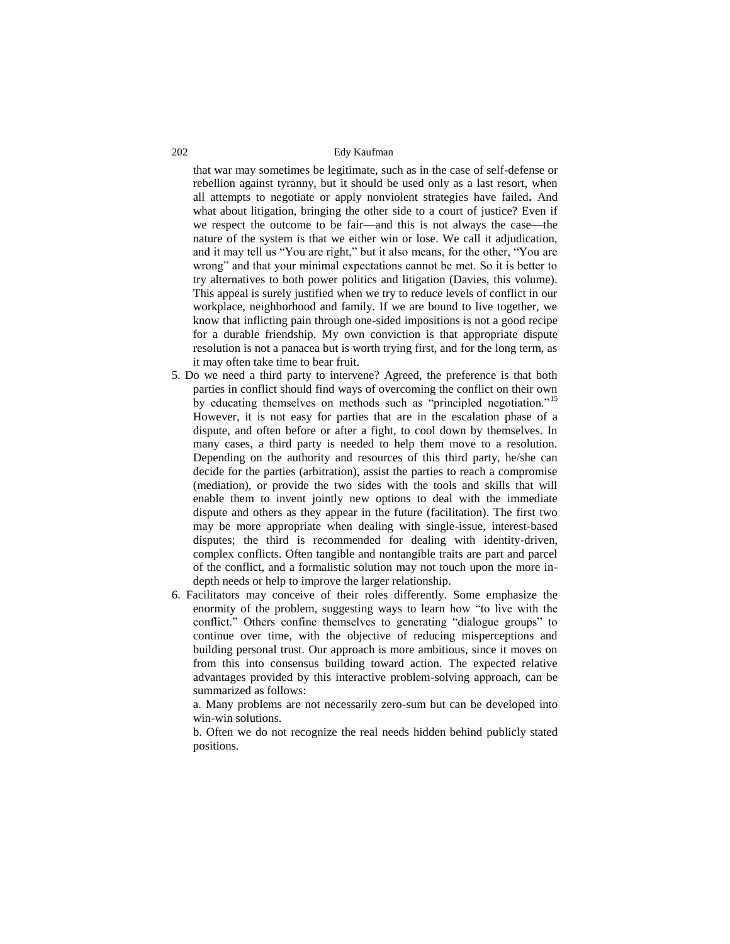that war may sometimes be legitimate, such as in the case of self-defense or rebellion against tyranny, but it should be used only as a last resort, when all attempts to negotiate or apply nonviolent strategies have failed**.** And what about litigation, bringing the other side to a court of justice? Even if we respect the outcome to be fair—and this is not always the case—the nature of the system is that we either win or lose. We call it adjudication, and it may tell us "You are right," but it also means, for the other, "You are wrong" and that your minimal expectations cannot be met. So it is better to try alternatives to both power politics and litigation (Davies, this volume). This appeal is surely justified when we try to reduce levels of conflict in our workplace, neighborhood and family. If we are bound to live together, we know that inflicting pain through one-sided impositions is not a good recipe for a durable friendship. My own conviction is that appropriate dispute resolution is not a panacea but is worth trying first, and for the long term, as it may often take time to bear fruit.

- 5. Do we need a third party to intervene? Agreed, the preference is that both parties in conflict should find ways of overcoming the conflict on their own by educating themselves on methods such as "principled negotiation."<sup>15</sup> However, it is not easy for parties that are in the escalation phase of a dispute, and often before or after a fight, to cool down by themselves. In many cases, a third party is needed to help them move to a resolution. Depending on the authority and resources of this third party, he/she can decide for the parties (arbitration), assist the parties to reach a compromise (mediation), or provide the two sides with the tools and skills that will enable them to invent jointly new options to deal with the immediate dispute and others as they appear in the future (facilitation). The first two may be more appropriate when dealing with single-issue, interest-based disputes; the third is recommended for dealing with identity-driven, complex conflicts. Often tangible and nontangible traits are part and parcel of the conflict, and a formalistic solution may not touch upon the more indepth needs or help to improve the larger relationship.
- 6. Facilitators may conceive of their roles differently. Some emphasize the enormity of the problem, suggesting ways to learn how "to live with the conflict." Others confine themselves to generating "dialogue groups" to continue over time, with the objective of reducing misperceptions and building personal trust. Our approach is more ambitious, since it moves on from this into consensus building toward action. The expected relative advantages provided by this interactive problem-solving approach, can be summarized as follows:

a. Many problems are not necessarily zero-sum but can be developed into win-win solutions.

b. Often we do not recognize the real needs hidden behind publicly stated positions.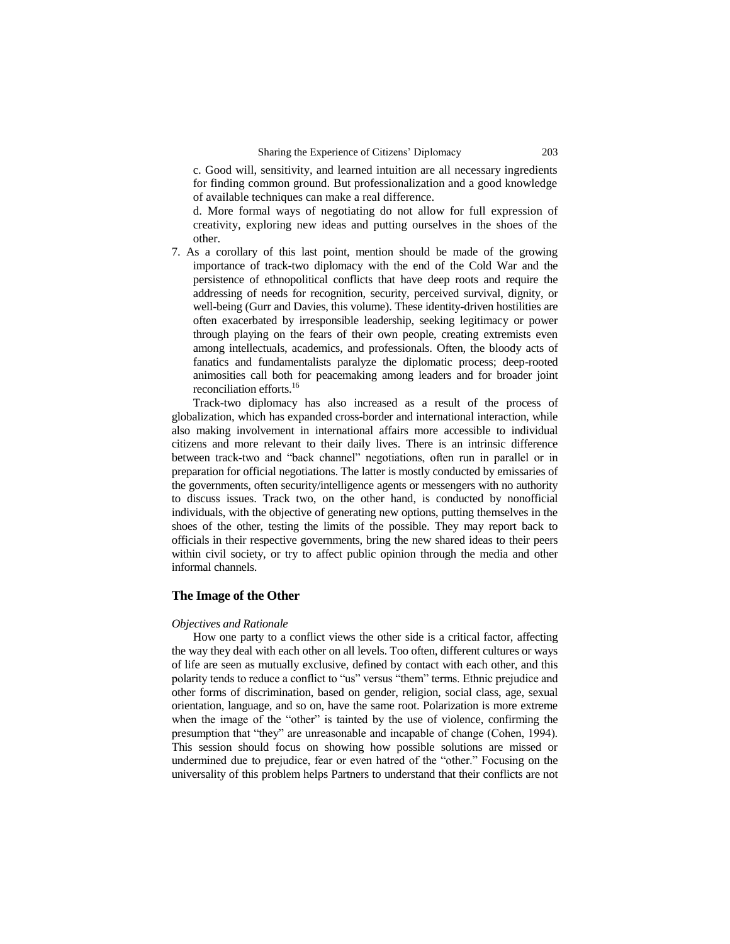c. Good will, sensitivity, and learned intuition are all necessary ingredients for finding common ground. But professionalization and a good knowledge of available techniques can make a real difference.

d. More formal ways of negotiating do not allow for full expression of creativity, exploring new ideas and putting ourselves in the shoes of the other.

7. As a corollary of this last point, mention should be made of the growing importance of track-two diplomacy with the end of the Cold War and the persistence of ethnopolitical conflicts that have deep roots and require the addressing of needs for recognition, security, perceived survival, dignity, or well-being (Gurr and Davies, this volume). These identity-driven hostilities are often exacerbated by irresponsible leadership, seeking legitimacy or power through playing on the fears of their own people, creating extremists even among intellectuals, academics, and professionals. Often, the bloody acts of fanatics and fundamentalists paralyze the diplomatic process; deep-rooted animosities call both for peacemaking among leaders and for broader joint reconciliation efforts.<sup>16</sup>

Track-two diplomacy has also increased as a result of the process of globalization, which has expanded cross-border and international interaction, while also making involvement in international affairs more accessible to individual citizens and more relevant to their daily lives. There is an intrinsic difference between track-two and "back channel" negotiations, often run in parallel or in preparation for official negotiations. The latter is mostly conducted by emissaries of the governments, often security/intelligence agents or messengers with no authority to discuss issues. Track two, on the other hand, is conducted by nonofficial individuals, with the objective of generating new options, putting themselves in the shoes of the other, testing the limits of the possible. They may report back to officials in their respective governments, bring the new shared ideas to their peers within civil society, or try to affect public opinion through the media and other informal channels.

# **The Image of the Other**

#### *Objectives and Rationale*

How one party to a conflict views the other side is a critical factor, affecting the way they deal with each other on all levels. Too often, different cultures or ways of life are seen as mutually exclusive, defined by contact with each other, and this polarity tends to reduce a conflict to "us" versus "them" terms. Ethnic prejudice and other forms of discrimination, based on gender, religion, social class, age, sexual orientation, language, and so on, have the same root. Polarization is more extreme when the image of the "other" is tainted by the use of violence, confirming the presumption that "they" are unreasonable and incapable of change (Cohen, 1994). This session should focus on showing how possible solutions are missed or undermined due to prejudice, fear or even hatred of the "other." Focusing on the universality of this problem helps Partners to understand that their conflicts are not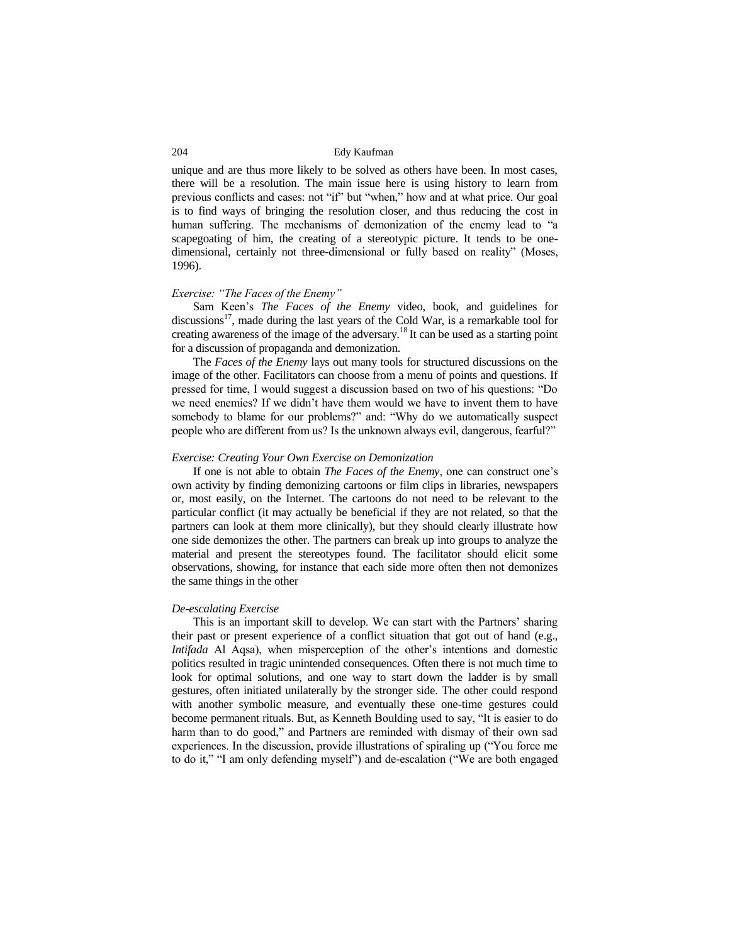unique and are thus more likely to be solved as others have been. In most cases, there will be a resolution. The main issue here is using history to learn from previous conflicts and cases: not "if" but "when," how and at what price. Our goal is to find ways of bringing the resolution closer, and thus reducing the cost in human suffering. The mechanisms of demonization of the enemy lead to "a scapegoating of him, the creating of a stereotypic picture. It tends to be onedimensional, certainly not three-dimensional or fully based on reality" (Moses, 1996).

#### *Exercise: "The Faces of the Enemy"*

Sam Keen's *The Faces of the Enemy* video, book, and guidelines for discussions $^{17}$ , made during the last years of the Cold War, is a remarkable tool for creating awareness of the image of the adversary.<sup>18</sup> It can be used as a starting point for a discussion of propaganda and demonization.

The *Faces of the Enemy* lays out many tools for structured discussions on the image of the other. Facilitators can choose from a menu of points and questions. If pressed for time, I would suggest a discussion based on two of his questions: "Do we need enemies? If we didn't have them would we have to invent them to have somebody to blame for our problems?" and: "Why do we automatically suspect people who are different from us? Is the unknown always evil, dangerous, fearful?"

#### *Exercise: Creating Your Own Exercise on Demonization*

If one is not able to obtain *The Faces of the Enemy*, one can construct one's own activity by finding demonizing cartoons or film clips in libraries, newspapers or, most easily, on the Internet. The cartoons do not need to be relevant to the particular conflict (it may actually be beneficial if they are not related, so that the partners can look at them more clinically), but they should clearly illustrate how one side demonizes the other. The partners can break up into groups to analyze the material and present the stereotypes found. The facilitator should elicit some observations, showing, for instance that each side more often then not demonizes the same things in the other

#### *De-escalating Exercise*

This is an important skill to develop. We can start with the Partners' sharing their past or present experience of a conflict situation that got out of hand (e.g., *Intifada* Al Aqsa), when misperception of the other's intentions and domestic politics resulted in tragic unintended consequences. Often there is not much time to look for optimal solutions, and one way to start down the ladder is by small gestures, often initiated unilaterally by the stronger side. The other could respond with another symbolic measure, and eventually these one-time gestures could become permanent rituals. But, as Kenneth Boulding used to say, "It is easier to do harm than to do good," and Partners are reminded with dismay of their own sad experiences. In the discussion, provide illustrations of spiraling up ("You force me to do it," "I am only defending myself") and de-escalation ("We are both engaged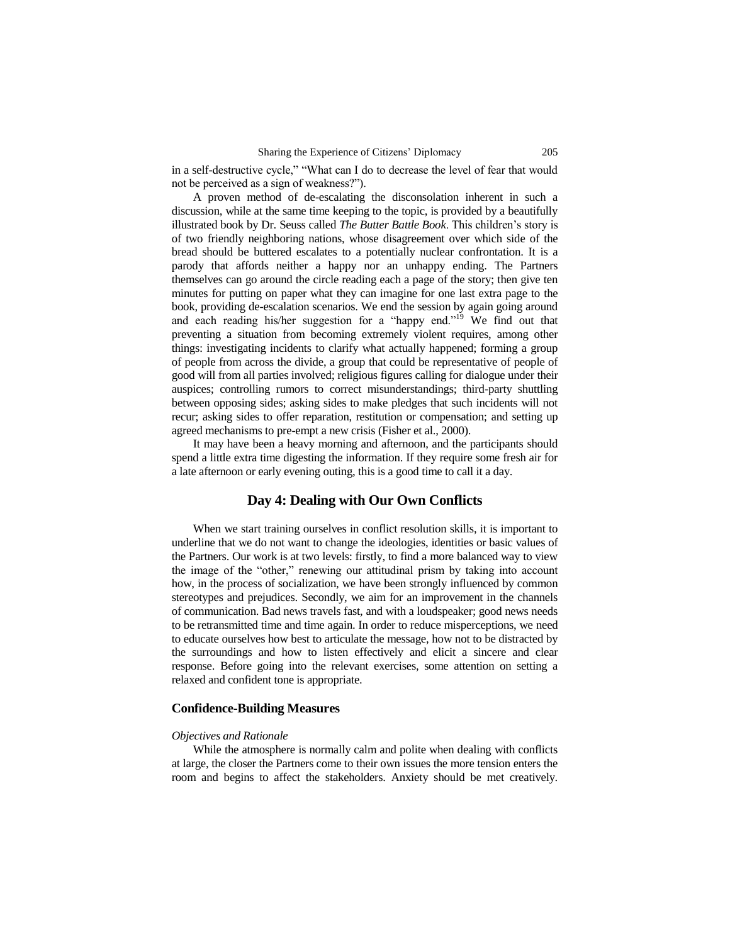in a self-destructive cycle," "What can I do to decrease the level of fear that would not be perceived as a sign of weakness?").

A proven method of de-escalating the disconsolation inherent in such a discussion, while at the same time keeping to the topic, is provided by a beautifully illustrated book by Dr. Seuss called *The Butter Battle Book*. This children's story is of two friendly neighboring nations, whose disagreement over which side of the bread should be buttered escalates to a potentially nuclear confrontation. It is a parody that affords neither a happy nor an unhappy ending. The Partners themselves can go around the circle reading each a page of the story; then give ten minutes for putting on paper what they can imagine for one last extra page to the book, providing de-escalation scenarios. We end the session by again going around and each reading his/her suggestion for a "happy end."<sup>19</sup> We find out that preventing a situation from becoming extremely violent requires, among other things: investigating incidents to clarify what actually happened; forming a group of people from across the divide, a group that could be representative of people of good will from all parties involved; religious figures calling for dialogue under their auspices; controlling rumors to correct misunderstandings; third-party shuttling between opposing sides; asking sides to make pledges that such incidents will not recur; asking sides to offer reparation, restitution or compensation; and setting up agreed mechanisms to pre-empt a new crisis (Fisher et al., 2000).

It may have been a heavy morning and afternoon, and the participants should spend a little extra time digesting the information. If they require some fresh air for a late afternoon or early evening outing, this is a good time to call it a day.

# **Day 4: Dealing with Our Own Conflicts**

When we start training ourselves in conflict resolution skills, it is important to underline that we do not want to change the ideologies, identities or basic values of the Partners. Our work is at two levels: firstly, to find a more balanced way to view the image of the "other," renewing our attitudinal prism by taking into account how, in the process of socialization, we have been strongly influenced by common stereotypes and prejudices. Secondly, we aim for an improvement in the channels of communication. Bad news travels fast, and with a loudspeaker; good news needs to be retransmitted time and time again. In order to reduce misperceptions, we need to educate ourselves how best to articulate the message, how not to be distracted by the surroundings and how to listen effectively and elicit a sincere and clear response. Before going into the relevant exercises, some attention on setting a relaxed and confident tone is appropriate.

#### **Confidence-Building Measures**

#### *Objectives and Rationale*

While the atmosphere is normally calm and polite when dealing with conflicts at large, the closer the Partners come to their own issues the more tension enters the room and begins to affect the stakeholders. Anxiety should be met creatively.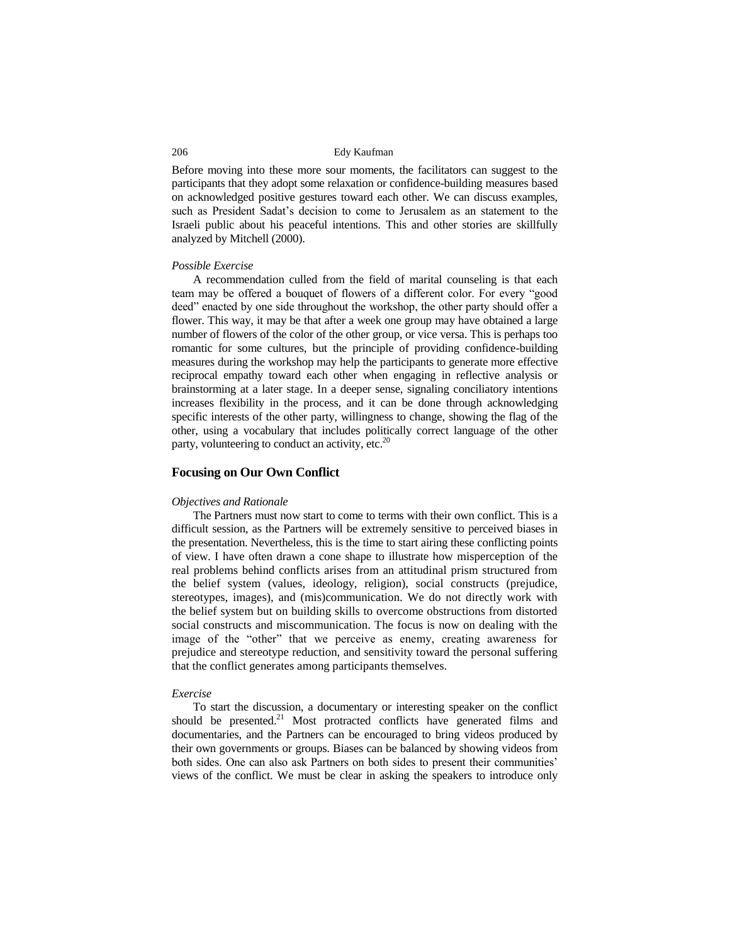Before moving into these more sour moments, the facilitators can suggest to the participants that they adopt some relaxation or confidence-building measures based on acknowledged positive gestures toward each other. We can discuss examples, such as President Sadat's decision to come to Jerusalem as an statement to the Israeli public about his peaceful intentions. This and other stories are skillfully analyzed by Mitchell (2000).

#### *Possible Exercise*

A recommendation culled from the field of marital counseling is that each team may be offered a bouquet of flowers of a different color. For every "good deed" enacted by one side throughout the workshop, the other party should offer a flower. This way, it may be that after a week one group may have obtained a large number of flowers of the color of the other group, or vice versa. This is perhaps too romantic for some cultures, but the principle of providing confidence-building measures during the workshop may help the participants to generate more effective reciprocal empathy toward each other when engaging in reflective analysis or brainstorming at a later stage. In a deeper sense, signaling conciliatory intentions increases flexibility in the process, and it can be done through acknowledging specific interests of the other party, willingness to change, showing the flag of the other, using a vocabulary that includes politically correct language of the other party, volunteering to conduct an activity, etc. $20$ 

# **Focusing on Our Own Conflict**

#### *Objectives and Rationale*

The Partners must now start to come to terms with their own conflict. This is a difficult session, as the Partners will be extremely sensitive to perceived biases in the presentation. Nevertheless, this is the time to start airing these conflicting points of view. I have often drawn a cone shape to illustrate how misperception of the real problems behind conflicts arises from an attitudinal prism structured from the belief system (values, ideology, religion), social constructs (prejudice, stereotypes, images), and (mis)communication. We do not directly work with the belief system but on building skills to overcome obstructions from distorted social constructs and miscommunication. The focus is now on dealing with the image of the "other" that we perceive as enemy, creating awareness for prejudice and stereotype reduction, and sensitivity toward the personal suffering that the conflict generates among participants themselves.

#### *Exercise*

To start the discussion, a documentary or interesting speaker on the conflict should be presented.<sup>21</sup> Most protracted conflicts have generated films and documentaries, and the Partners can be encouraged to bring videos produced by their own governments or groups. Biases can be balanced by showing videos from both sides. One can also ask Partners on both sides to present their communities' views of the conflict. We must be clear in asking the speakers to introduce only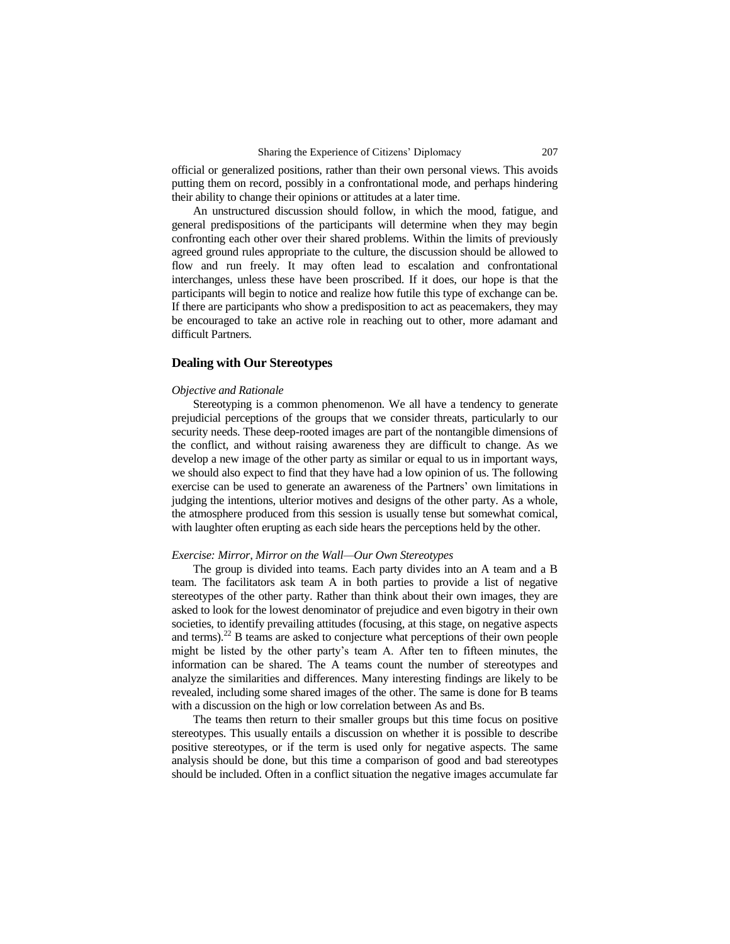official or generalized positions, rather than their own personal views. This avoids putting them on record, possibly in a confrontational mode, and perhaps hindering their ability to change their opinions or attitudes at a later time.

An unstructured discussion should follow, in which the mood, fatigue, and general predispositions of the participants will determine when they may begin confronting each other over their shared problems. Within the limits of previously agreed ground rules appropriate to the culture, the discussion should be allowed to flow and run freely. It may often lead to escalation and confrontational interchanges, unless these have been proscribed. If it does, our hope is that the participants will begin to notice and realize how futile this type of exchange can be. If there are participants who show a predisposition to act as peacemakers, they may be encouraged to take an active role in reaching out to other, more adamant and difficult Partners.

#### **Dealing with Our Stereotypes**

#### *Objective and Rationale*

Stereotyping is a common phenomenon. We all have a tendency to generate prejudicial perceptions of the groups that we consider threats, particularly to our security needs. These deep-rooted images are part of the nontangible dimensions of the conflict, and without raising awareness they are difficult to change. As we develop a new image of the other party as similar or equal to us in important ways, we should also expect to find that they have had a low opinion of us. The following exercise can be used to generate an awareness of the Partners' own limitations in judging the intentions, ulterior motives and designs of the other party. As a whole, the atmosphere produced from this session is usually tense but somewhat comical, with laughter often erupting as each side hears the perceptions held by the other.

#### *Exercise: Mirror, Mirror on the Wall—Our Own Stereotypes*

The group is divided into teams. Each party divides into an A team and a B team. The facilitators ask team A in both parties to provide a list of negative stereotypes of the other party. Rather than think about their own images, they are asked to look for the lowest denominator of prejudice and even bigotry in their own societies, to identify prevailing attitudes (focusing, at this stage, on negative aspects and terms).<sup>22</sup> B teams are asked to conjecture what perceptions of their own people might be listed by the other party's team A. After ten to fifteen minutes, the information can be shared. The A teams count the number of stereotypes and analyze the similarities and differences. Many interesting findings are likely to be revealed, including some shared images of the other. The same is done for B teams with a discussion on the high or low correlation between As and Bs.

The teams then return to their smaller groups but this time focus on positive stereotypes. This usually entails a discussion on whether it is possible to describe positive stereotypes, or if the term is used only for negative aspects. The same analysis should be done, but this time a comparison of good and bad stereotypes should be included. Often in a conflict situation the negative images accumulate far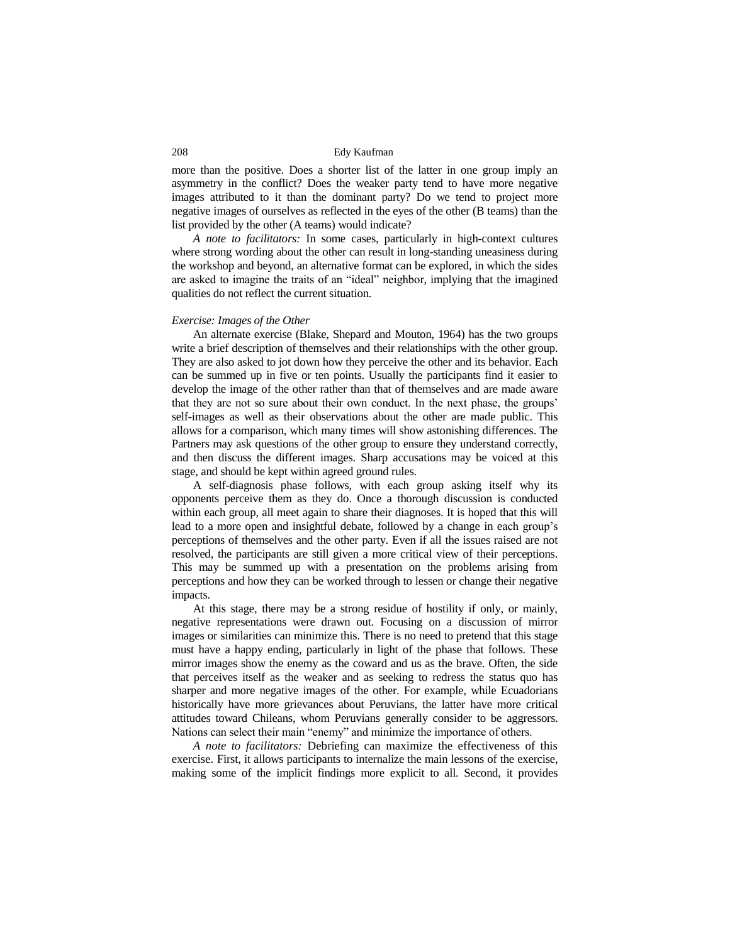more than the positive. Does a shorter list of the latter in one group imply an asymmetry in the conflict? Does the weaker party tend to have more negative images attributed to it than the dominant party? Do we tend to project more negative images of ourselves as reflected in the eyes of the other (B teams) than the list provided by the other (A teams) would indicate?

*A note to facilitators:* In some cases, particularly in high-context cultures where strong wording about the other can result in long-standing uneasiness during the workshop and beyond, an alternative format can be explored, in which the sides are asked to imagine the traits of an "ideal" neighbor, implying that the imagined qualities do not reflect the current situation.

#### *Exercise: Images of the Other*

An alternate exercise (Blake, Shepard and Mouton, 1964) has the two groups write a brief description of themselves and their relationships with the other group. They are also asked to jot down how they perceive the other and its behavior. Each can be summed up in five or ten points. Usually the participants find it easier to develop the image of the other rather than that of themselves and are made aware that they are not so sure about their own conduct. In the next phase, the groups' self-images as well as their observations about the other are made public. This allows for a comparison, which many times will show astonishing differences. The Partners may ask questions of the other group to ensure they understand correctly, and then discuss the different images. Sharp accusations may be voiced at this stage, and should be kept within agreed ground rules.

A self-diagnosis phase follows, with each group asking itself why its opponents perceive them as they do. Once a thorough discussion is conducted within each group, all meet again to share their diagnoses. It is hoped that this will lead to a more open and insightful debate, followed by a change in each group's perceptions of themselves and the other party. Even if all the issues raised are not resolved, the participants are still given a more critical view of their perceptions. This may be summed up with a presentation on the problems arising from perceptions and how they can be worked through to lessen or change their negative impacts.

At this stage, there may be a strong residue of hostility if only, or mainly, negative representations were drawn out. Focusing on a discussion of mirror images or similarities can minimize this. There is no need to pretend that this stage must have a happy ending, particularly in light of the phase that follows. These mirror images show the enemy as the coward and us as the brave. Often, the side that perceives itself as the weaker and as seeking to redress the status quo has sharper and more negative images of the other. For example, while Ecuadorians historically have more grievances about Peruvians, the latter have more critical attitudes toward Chileans, whom Peruvians generally consider to be aggressors. Nations can select their main "enemy" and minimize the importance of others.

*A note to facilitators:* Debriefing can maximize the effectiveness of this exercise. First, it allows participants to internalize the main lessons of the exercise, making some of the implicit findings more explicit to all. Second, it provides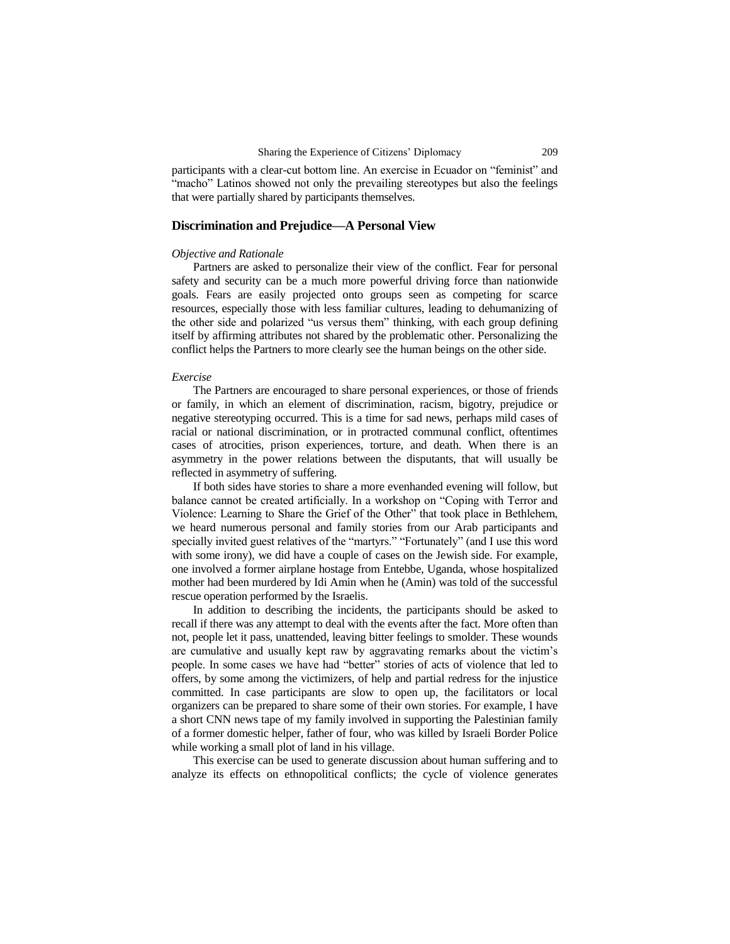participants with a clear-cut bottom line. An exercise in Ecuador on "feminist" and "macho" Latinos showed not only the prevailing stereotypes but also the feelings that were partially shared by participants themselves.

### **Discrimination and Prejudice—A Personal View**

### *Objective and Rationale*

Partners are asked to personalize their view of the conflict. Fear for personal safety and security can be a much more powerful driving force than nationwide goals. Fears are easily projected onto groups seen as competing for scarce resources, especially those with less familiar cultures, leading to dehumanizing of the other side and polarized "us versus them" thinking, with each group defining itself by affirming attributes not shared by the problematic other. Personalizing the conflict helps the Partners to more clearly see the human beings on the other side.

#### *Exercise*

The Partners are encouraged to share personal experiences, or those of friends or family, in which an element of discrimination, racism, bigotry, prejudice or negative stereotyping occurred. This is a time for sad news, perhaps mild cases of racial or national discrimination, or in protracted communal conflict, oftentimes cases of atrocities, prison experiences, torture, and death. When there is an asymmetry in the power relations between the disputants, that will usually be reflected in asymmetry of suffering.

If both sides have stories to share a more evenhanded evening will follow, but balance cannot be created artificially. In a workshop on "Coping with Terror and Violence: Learning to Share the Grief of the Other" that took place in Bethlehem, we heard numerous personal and family stories from our Arab participants and specially invited guest relatives of the "martyrs." "Fortunately" (and I use this word with some irony), we did have a couple of cases on the Jewish side. For example, one involved a former airplane hostage from Entebbe, Uganda, whose hospitalized mother had been murdered by Idi Amin when he (Amin) was told of the successful rescue operation performed by the Israelis.

In addition to describing the incidents, the participants should be asked to recall if there was any attempt to deal with the events after the fact. More often than not, people let it pass, unattended, leaving bitter feelings to smolder. These wounds are cumulative and usually kept raw by aggravating remarks about the victim's people. In some cases we have had "better" stories of acts of violence that led to offers, by some among the victimizers, of help and partial redress for the injustice committed. In case participants are slow to open up, the facilitators or local organizers can be prepared to share some of their own stories. For example, I have a short CNN news tape of my family involved in supporting the Palestinian family of a former domestic helper, father of four, who was killed by Israeli Border Police while working a small plot of land in his village.

This exercise can be used to generate discussion about human suffering and to analyze its effects on ethnopolitical conflicts; the cycle of violence generates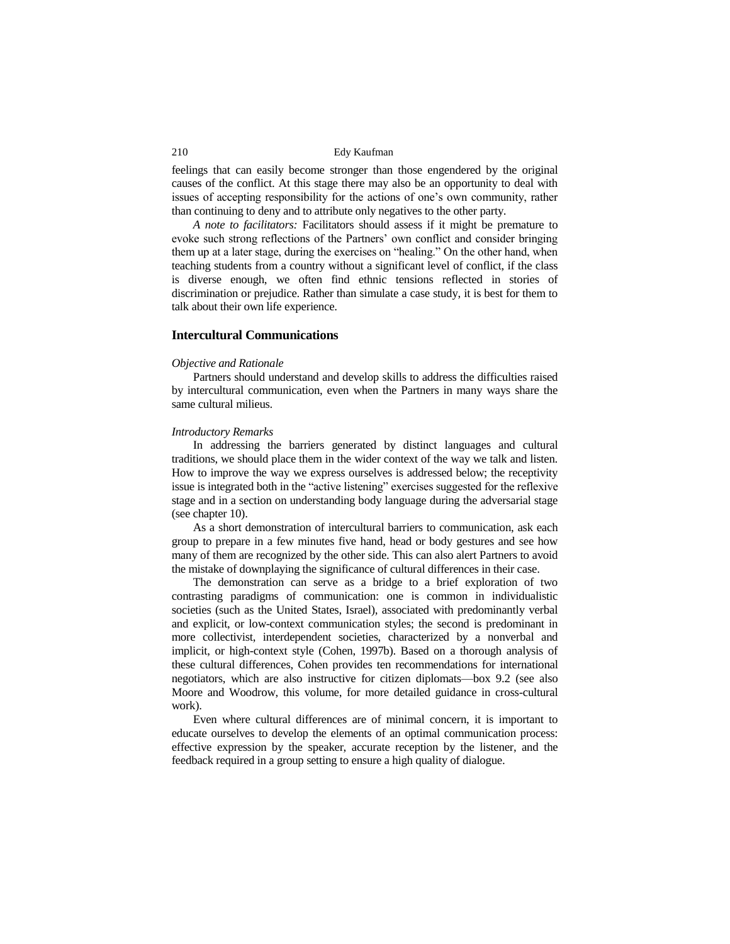feelings that can easily become stronger than those engendered by the original causes of the conflict. At this stage there may also be an opportunity to deal with issues of accepting responsibility for the actions of one's own community, rather than continuing to deny and to attribute only negatives to the other party.

*A note to facilitators:* Facilitators should assess if it might be premature to evoke such strong reflections of the Partners' own conflict and consider bringing them up at a later stage, during the exercises on "healing." On the other hand, when teaching students from a country without a significant level of conflict, if the class is diverse enough, we often find ethnic tensions reflected in stories of discrimination or prejudice. Rather than simulate a case study, it is best for them to talk about their own life experience.

#### **Intercultural Communications**

#### *Objective and Rationale*

Partners should understand and develop skills to address the difficulties raised by intercultural communication, even when the Partners in many ways share the same cultural milieus.

#### *Introductory Remarks*

In addressing the barriers generated by distinct languages and cultural traditions, we should place them in the wider context of the way we talk and listen. How to improve the way we express ourselves is addressed below; the receptivity issue is integrated both in the "active listening" exercises suggested for the reflexive stage and in a section on understanding body language during the adversarial stage (see chapter 10).

As a short demonstration of intercultural barriers to communication, ask each group to prepare in a few minutes five hand, head or body gestures and see how many of them are recognized by the other side. This can also alert Partners to avoid the mistake of downplaying the significance of cultural differences in their case.

The demonstration can serve as a bridge to a brief exploration of two contrasting paradigms of communication: one is common in individualistic societies (such as the United States, Israel), associated with predominantly verbal and explicit, or low-context communication styles; the second is predominant in more collectivist, interdependent societies, characterized by a nonverbal and implicit, or high-context style (Cohen, 1997b). Based on a thorough analysis of these cultural differences, Cohen provides ten recommendations for international negotiators, which are also instructive for citizen diplomats—box 9.2 (see also Moore and Woodrow, this volume, for more detailed guidance in cross-cultural work).

Even where cultural differences are of minimal concern, it is important to educate ourselves to develop the elements of an optimal communication process: effective expression by the speaker, accurate reception by the listener, and the feedback required in a group setting to ensure a high quality of dialogue.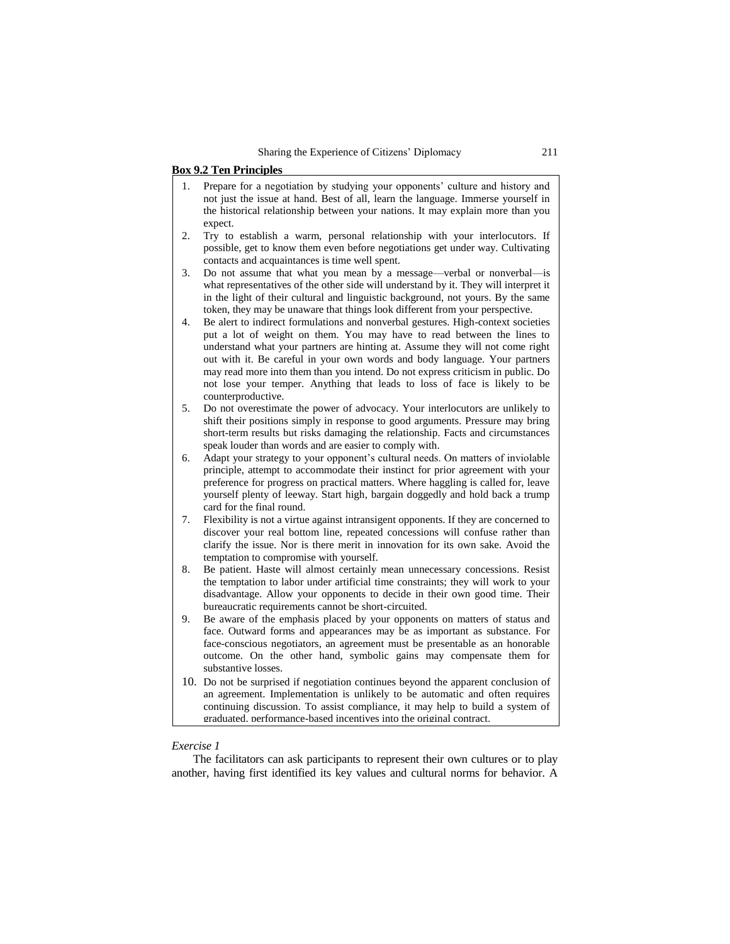#### **Box 9.2 Ten Principles**

- 1. Prepare for a negotiation by studying your opponents' culture and history and not just the issue at hand. Best of all, learn the language. Immerse yourself in the historical relationship between your nations. It may explain more than you expect.
- 2. Try to establish a warm, personal relationship with your interlocutors. If possible, get to know them even before negotiations get under way. Cultivating contacts and acquaintances is time well spent.
- 3. Do not assume that what you mean by a message—verbal or nonverbal—is what representatives of the other side will understand by it. They will interpret it in the light of their cultural and linguistic background, not yours. By the same token, they may be unaware that things look different from your perspective.
- 4. Be alert to indirect formulations and nonverbal gestures. High-context societies put a lot of weight on them. You may have to read between the lines to understand what your partners are hinting at. Assume they will not come right out with it. Be careful in your own words and body language. Your partners may read more into them than you intend. Do not express criticism in public. Do not lose your temper. Anything that leads to loss of face is likely to be counterproductive.
- 5. Do not overestimate the power of advocacy. Your interlocutors are unlikely to shift their positions simply in response to good arguments. Pressure may bring short-term results but risks damaging the relationship. Facts and circumstances speak louder than words and are easier to comply with.
- 6. Adapt your strategy to your opponent's cultural needs. On matters of inviolable principle, attempt to accommodate their instinct for prior agreement with your preference for progress on practical matters. Where haggling is called for, leave yourself plenty of leeway. Start high, bargain doggedly and hold back a trump card for the final round.
- 7. Flexibility is not a virtue against intransigent opponents. If they are concerned to discover your real bottom line, repeated concessions will confuse rather than clarify the issue. Nor is there merit in innovation for its own sake. Avoid the temptation to compromise with yourself.
- 8. Be patient. Haste will almost certainly mean unnecessary concessions. Resist the temptation to labor under artificial time constraints; they will work to your disadvantage. Allow your opponents to decide in their own good time. Their bureaucratic requirements cannot be short-circuited.
- 9. Be aware of the emphasis placed by your opponents on matters of status and face. Outward forms and appearances may be as important as substance. For face-conscious negotiators, an agreement must be presentable as an honorable outcome. On the other hand, symbolic gains may compensate them for substantive losses.
- 10. Do not be surprised if negotiation continues beyond the apparent conclusion of an agreement. Implementation is unlikely to be automatic and often requires continuing discussion. To assist compliance, it may help to build a system of graduated, performance-based incentives into the original contract.

### *Exercise 1*

The facilitators can ask participants to represent their own cultures or to play another, having first identified its key values and cultural norms for behavior. A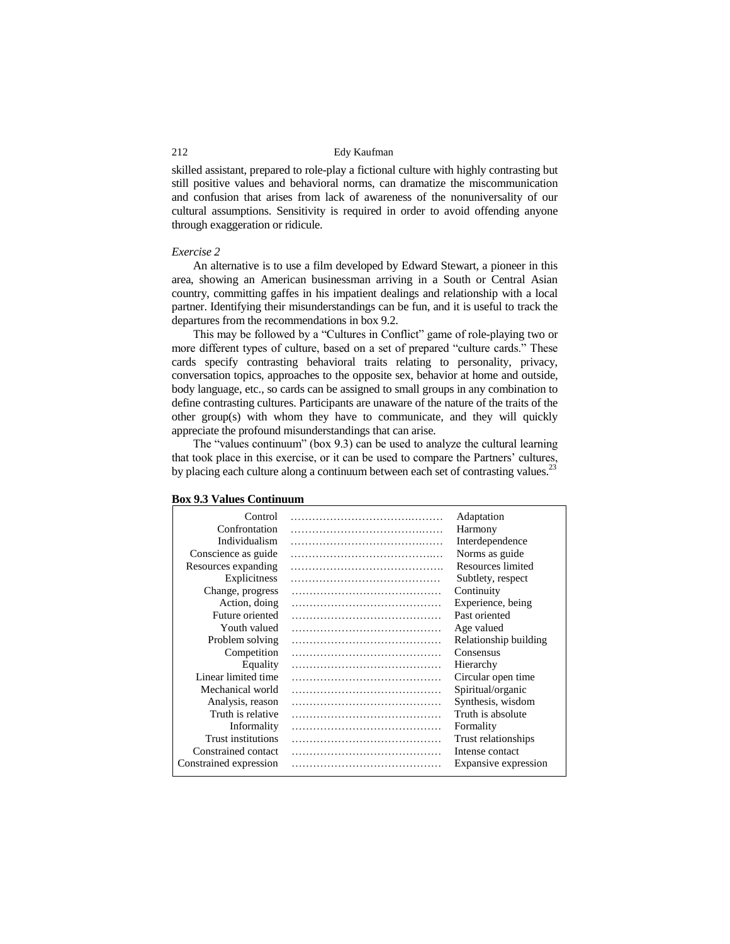skilled assistant, prepared to role-play a fictional culture with highly contrasting but still positive values and behavioral norms, can dramatize the miscommunication and confusion that arises from lack of awareness of the nonuniversality of our cultural assumptions. Sensitivity is required in order to avoid offending anyone through exaggeration or ridicule.

#### *Exercise 2*

An alternative is to use a film developed by Edward Stewart, a pioneer in this area, showing an American businessman arriving in a South or Central Asian country, committing gaffes in his impatient dealings and relationship with a local partner. Identifying their misunderstandings can be fun, and it is useful to track the departures from the recommendations in box 9.2.

This may be followed by a "Cultures in Conflict" game of role-playing two or more different types of culture, based on a set of prepared "culture cards." These cards specify contrasting behavioral traits relating to personality, privacy, conversation topics, approaches to the opposite sex, behavior at home and outside, body language, etc., so cards can be assigned to small groups in any combination to define contrasting cultures. Participants are unaware of the nature of the traits of the other group(s) with whom they have to communicate, and they will quickly appreciate the profound misunderstandings that can arise.

The "values continuum" (box 9.3) can be used to analyze the cultural learning that took place in this exercise, or it can be used to compare the Partners' cultures, by placing each culture along a continuum between each set of contrasting values.<sup>23</sup>

| Control                | Adaptation            |
|------------------------|-----------------------|
| Confrontation          | Harmony               |
| Individualism          | Interdependence       |
| Conscience as guide    | Norms as guide        |
| Resources expanding    | Resources limited     |
| Explicitness           | Subtlety, respect     |
| Change, progress       | Continuity            |
| Action, doing          | Experience, being     |
| Future oriented        | Past oriented         |
| Youth valued           | Age valued            |
| Problem solving        | Relationship building |
| Competition            | Consensus             |
| Equality               | Hierarchy             |
| Linear limited time    | Circular open time    |
| Mechanical world       | Spiritual/organic     |
| Analysis, reason       | Synthesis, wisdom     |
| Truth is relative      | Truth is absolute     |
| Informality            | Formality             |
| Trust institutions     | Trust relationships   |
| Constrained contact    | Intense contact       |
| Constrained expression | Expansive expression  |

#### **Box 9.3 Values Continuum**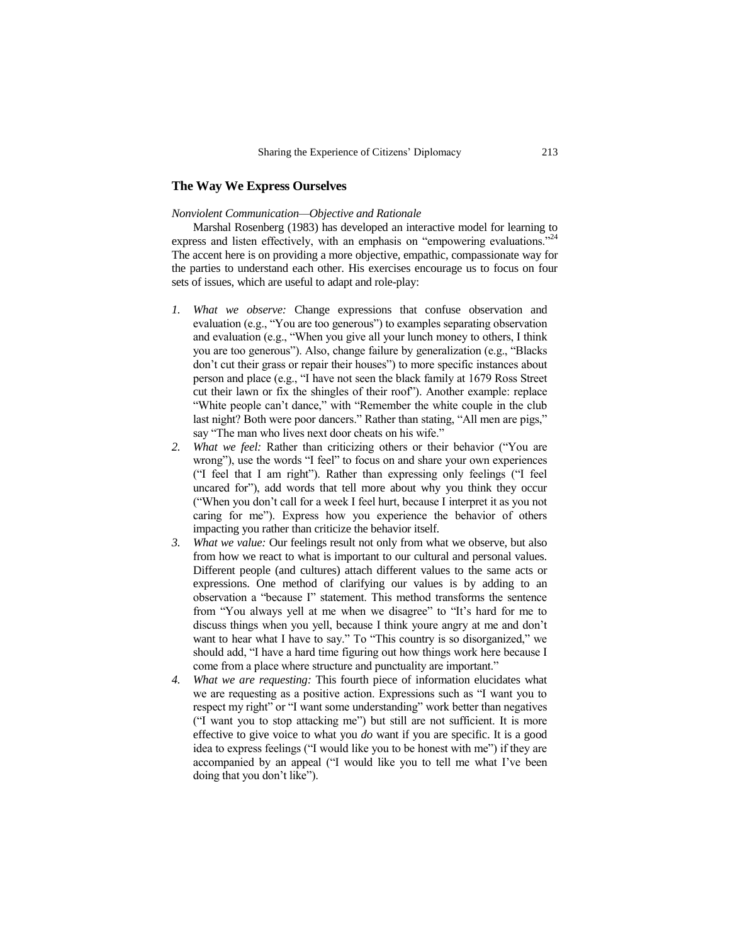# **The Way We Express Ourselves**

### *Nonviolent Communication—Objective and Rationale*

Marshal Rosenberg (1983) has developed an interactive model for learning to express and listen effectively, with an emphasis on "empowering evaluations."<sup>24</sup> The accent here is on providing a more objective, empathic, compassionate way for the parties to understand each other. His exercises encourage us to focus on four sets of issues, which are useful to adapt and role-play:

- *1. What we observe:* Change expressions that confuse observation and evaluation (e.g., "You are too generous") to examples separating observation and evaluation (e.g., "When you give all your lunch money to others, I think you are too generous"). Also, change failure by generalization (e.g., "Blacks don't cut their grass or repair their houses") to more specific instances about person and place (e.g., "I have not seen the black family at 1679 Ross Street cut their lawn or fix the shingles of their roof"). Another example: replace "White people can't dance," with "Remember the white couple in the club last night? Both were poor dancers." Rather than stating, "All men are pigs," say "The man who lives next door cheats on his wife."
- *2. What we feel:* Rather than criticizing others or their behavior ("You are wrong"), use the words "I feel" to focus on and share your own experiences ("I feel that I am right"). Rather than expressing only feelings ("I feel uncared for"), add words that tell more about why you think they occur ("When you don't call for a week I feel hurt, because I interpret it as you not caring for me"). Express how you experience the behavior of others impacting you rather than criticize the behavior itself.
- *3. What we value:* Our feelings result not only from what we observe, but also from how we react to what is important to our cultural and personal values. Different people (and cultures) attach different values to the same acts or expressions. One method of clarifying our values is by adding to an observation a "because I" statement. This method transforms the sentence from "You always yell at me when we disagree" to "It's hard for me to discuss things when you yell, because I think youre angry at me and don't want to hear what I have to say." To "This country is so disorganized," we should add, "I have a hard time figuring out how things work here because I come from a place where structure and punctuality are important."
- *4. What we are requesting:* This fourth piece of information elucidates what we are requesting as a positive action. Expressions such as "I want you to respect my right" or "I want some understanding" work better than negatives ("I want you to stop attacking me") but still are not sufficient. It is more effective to give voice to what you *do* want if you are specific. It is a good idea to express feelings ("I would like you to be honest with me") if they are accompanied by an appeal ("I would like you to tell me what I've been doing that you don't like").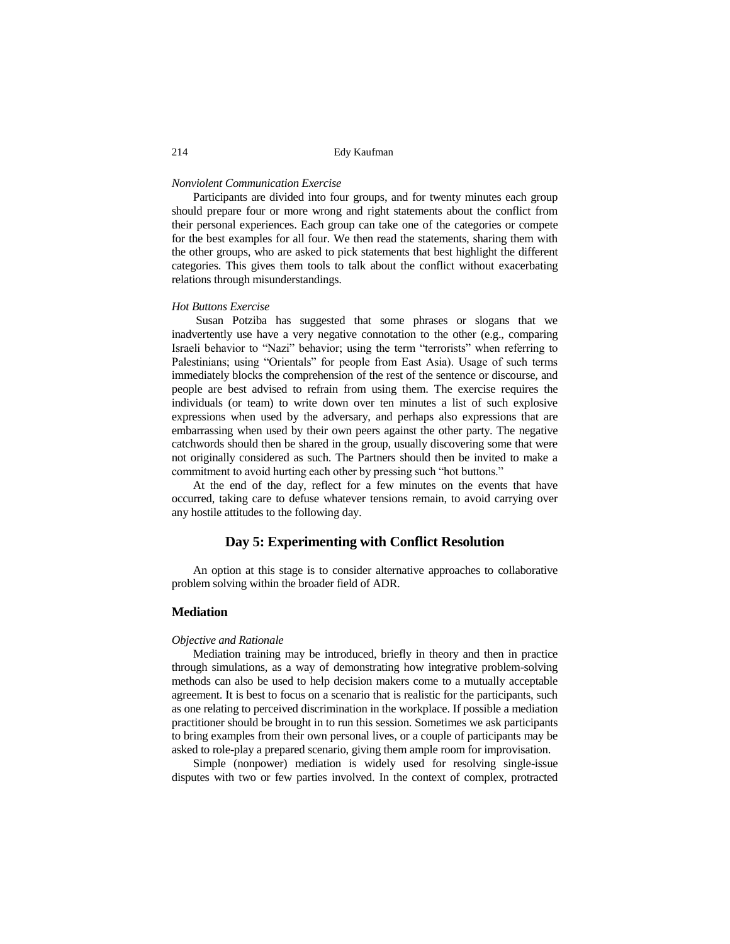#### *Nonviolent Communication Exercise*

Participants are divided into four groups, and for twenty minutes each group should prepare four or more wrong and right statements about the conflict from their personal experiences. Each group can take one of the categories or compete for the best examples for all four. We then read the statements, sharing them with the other groups, who are asked to pick statements that best highlight the different categories. This gives them tools to talk about the conflict without exacerbating relations through misunderstandings.

#### *Hot Buttons Exercise*

Susan Potziba has suggested that some phrases or slogans that we inadvertently use have a very negative connotation to the other (e.g., comparing Israeli behavior to "Nazi" behavior; using the term "terrorists" when referring to Palestinians; using "Orientals" for people from East Asia). Usage of such terms immediately blocks the comprehension of the rest of the sentence or discourse, and people are best advised to refrain from using them. The exercise requires the individuals (or team) to write down over ten minutes a list of such explosive expressions when used by the adversary, and perhaps also expressions that are embarrassing when used by their own peers against the other party. The negative catchwords should then be shared in the group, usually discovering some that were not originally considered as such. The Partners should then be invited to make a commitment to avoid hurting each other by pressing such "hot buttons."

At the end of the day, reflect for a few minutes on the events that have occurred, taking care to defuse whatever tensions remain, to avoid carrying over any hostile attitudes to the following day.

# **Day 5: Experimenting with Conflict Resolution**

An option at this stage is to consider alternative approaches to collaborative problem solving within the broader field of ADR.

# **Mediation**

#### *Objective and Rationale*

Mediation training may be introduced, briefly in theory and then in practice through simulations, as a way of demonstrating how integrative problem-solving methods can also be used to help decision makers come to a mutually acceptable agreement. It is best to focus on a scenario that is realistic for the participants, such as one relating to perceived discrimination in the workplace. If possible a mediation practitioner should be brought in to run this session. Sometimes we ask participants to bring examples from their own personal lives, or a couple of participants may be asked to role-play a prepared scenario, giving them ample room for improvisation.

Simple (nonpower) mediation is widely used for resolving single-issue disputes with two or few parties involved. In the context of complex, protracted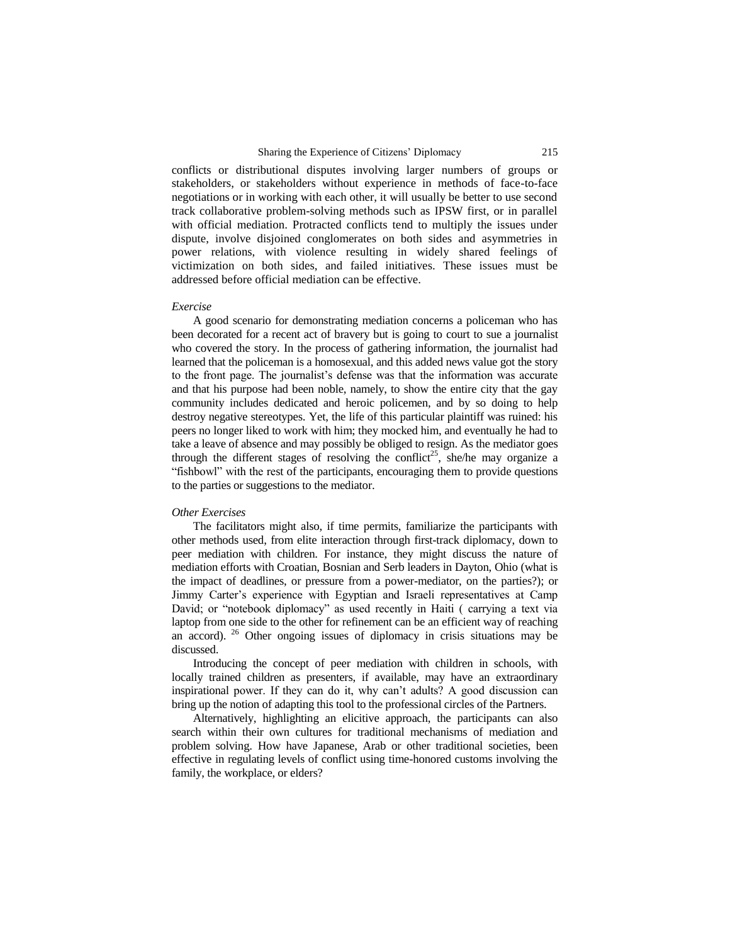conflicts or distributional disputes involving larger numbers of groups or stakeholders, or stakeholders without experience in methods of face-to-face negotiations or in working with each other, it will usually be better to use second track collaborative problem-solving methods such as IPSW first, or in parallel with official mediation. Protracted conflicts tend to multiply the issues under dispute, involve disjoined conglomerates on both sides and asymmetries in power relations, with violence resulting in widely shared feelings of victimization on both sides, and failed initiatives. These issues must be addressed before official mediation can be effective.

#### *Exercise*

A good scenario for demonstrating mediation concerns a policeman who has been decorated for a recent act of bravery but is going to court to sue a journalist who covered the story. In the process of gathering information, the journalist had learned that the policeman is a homosexual, and this added news value got the story to the front page. The journalist's defense was that the information was accurate and that his purpose had been noble, namely, to show the entire city that the gay community includes dedicated and heroic policemen, and by so doing to help destroy negative stereotypes. Yet, the life of this particular plaintiff was ruined: his peers no longer liked to work with him; they mocked him, and eventually he had to take a leave of absence and may possibly be obliged to resign. As the mediator goes through the different stages of resolving the conflict<sup>25</sup>, she/he may organize a "fishbowl" with the rest of the participants, encouraging them to provide questions to the parties or suggestions to the mediator.

### *Other Exercises*

The facilitators might also, if time permits, familiarize the participants with other methods used, from elite interaction through first-track diplomacy, down to peer mediation with children. For instance, they might discuss the nature of mediation efforts with Croatian, Bosnian and Serb leaders in Dayton, Ohio (what is the impact of deadlines, or pressure from a power-mediator, on the parties?); or Jimmy Carter's experience with Egyptian and Israeli representatives at Camp David; or "notebook diplomacy" as used recently in Haiti ( carrying a text via laptop from one side to the other for refinement can be an efficient way of reaching an accord).  $26$  Other ongoing issues of diplomacy in crisis situations may be discussed.

Introducing the concept of peer mediation with children in schools, with locally trained children as presenters, if available, may have an extraordinary inspirational power. If they can do it, why can't adults? A good discussion can bring up the notion of adapting this tool to the professional circles of the Partners.

Alternatively, highlighting an elicitive approach, the participants can also search within their own cultures for traditional mechanisms of mediation and problem solving. How have Japanese, Arab or other traditional societies, been effective in regulating levels of conflict using time-honored customs involving the family, the workplace, or elders?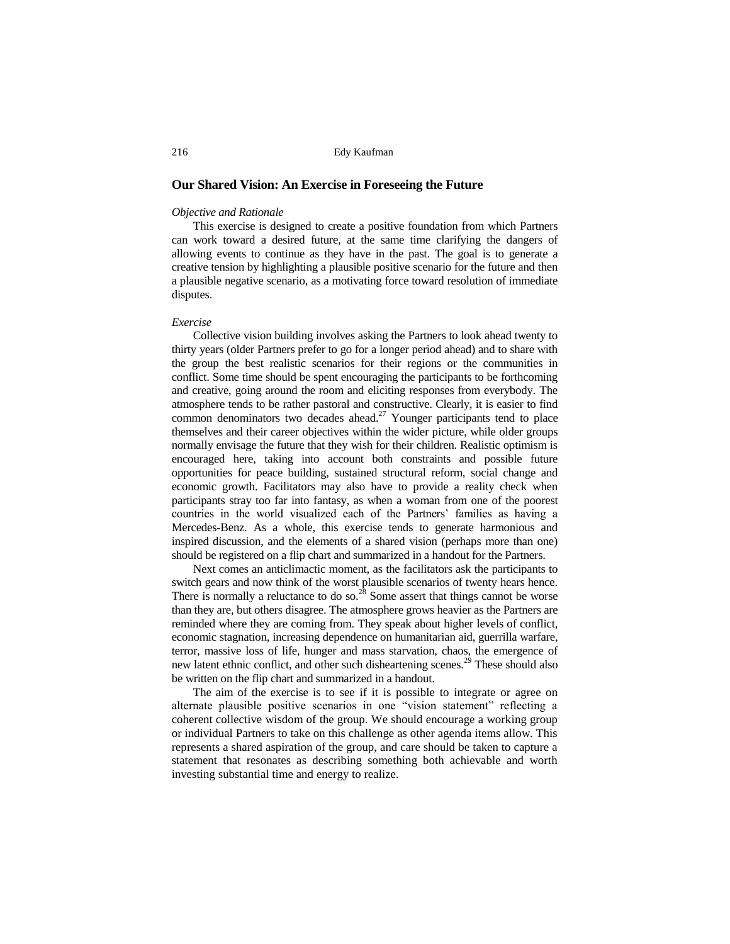#### **Our Shared Vision: An Exercise in Foreseeing the Future**

#### *Objective and Rationale*

This exercise is designed to create a positive foundation from which Partners can work toward a desired future, at the same time clarifying the dangers of allowing events to continue as they have in the past. The goal is to generate a creative tension by highlighting a plausible positive scenario for the future and then a plausible negative scenario, as a motivating force toward resolution of immediate disputes.

#### *Exercise*

Collective vision building involves asking the Partners to look ahead twenty to thirty years (older Partners prefer to go for a longer period ahead) and to share with the group the best realistic scenarios for their regions or the communities in conflict. Some time should be spent encouraging the participants to be forthcoming and creative, going around the room and eliciting responses from everybody. The atmosphere tends to be rather pastoral and constructive. Clearly, it is easier to find common denominators two decades ahead.<sup>27</sup> Younger participants tend to place themselves and their career objectives within the wider picture, while older groups normally envisage the future that they wish for their children. Realistic optimism is encouraged here, taking into account both constraints and possible future opportunities for peace building, sustained structural reform, social change and economic growth. Facilitators may also have to provide a reality check when participants stray too far into fantasy, as when a woman from one of the poorest countries in the world visualized each of the Partners' families as having a Mercedes-Benz. As a whole, this exercise tends to generate harmonious and inspired discussion, and the elements of a shared vision (perhaps more than one) should be registered on a flip chart and summarized in a handout for the Partners.

Next comes an anticlimactic moment, as the facilitators ask the participants to switch gears and now think of the worst plausible scenarios of twenty hears hence. There is normally a reluctance to do so.<sup>28</sup> Some assert that things cannot be worse than they are, but others disagree. The atmosphere grows heavier as the Partners are reminded where they are coming from. They speak about higher levels of conflict, economic stagnation, increasing dependence on humanitarian aid, guerrilla warfare, terror, massive loss of life, hunger and mass starvation, chaos, the emergence of new latent ethnic conflict, and other such disheartening scenes.<sup>29</sup> These should also be written on the flip chart and summarized in a handout.

The aim of the exercise is to see if it is possible to integrate or agree on alternate plausible positive scenarios in one "vision statement" reflecting a coherent collective wisdom of the group. We should encourage a working group or individual Partners to take on this challenge as other agenda items allow. This represents a shared aspiration of the group, and care should be taken to capture a statement that resonates as describing something both achievable and worth investing substantial time and energy to realize.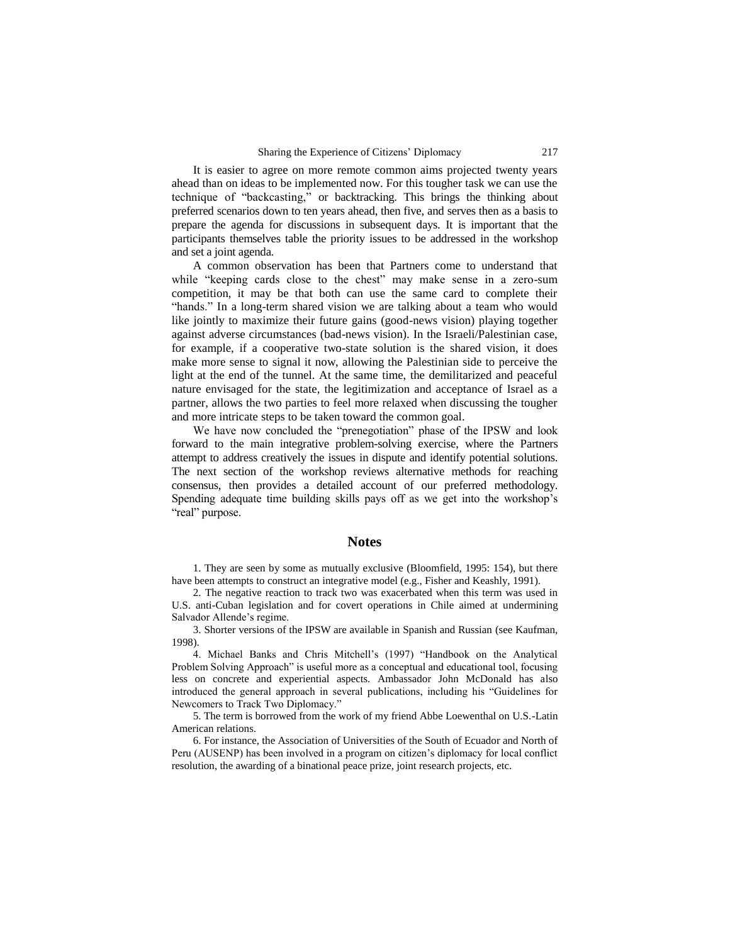It is easier to agree on more remote common aims projected twenty years ahead than on ideas to be implemented now. For this tougher task we can use the technique of "backcasting," or backtracking. This brings the thinking about preferred scenarios down to ten years ahead, then five, and serves then as a basis to prepare the agenda for discussions in subsequent days. It is important that the participants themselves table the priority issues to be addressed in the workshop and set a joint agenda.

A common observation has been that Partners come to understand that while "keeping cards close to the chest" may make sense in a zero-sum competition, it may be that both can use the same card to complete their "hands." In a long-term shared vision we are talking about a team who would like jointly to maximize their future gains (good-news vision) playing together against adverse circumstances (bad-news vision). In the Israeli/Palestinian case, for example, if a cooperative two-state solution is the shared vision, it does make more sense to signal it now, allowing the Palestinian side to perceive the light at the end of the tunnel. At the same time, the demilitarized and peaceful nature envisaged for the state, the legitimization and acceptance of Israel as a partner, allows the two parties to feel more relaxed when discussing the tougher and more intricate steps to be taken toward the common goal.

We have now concluded the "prenegotiation" phase of the IPSW and look forward to the main integrative problem-solving exercise, where the Partners attempt to address creatively the issues in dispute and identify potential solutions. The next section of the workshop reviews alternative methods for reaching consensus, then provides a detailed account of our preferred methodology. Spending adequate time building skills pays off as we get into the workshop's "real" purpose.

### **Notes**

1. They are seen by some as mutually exclusive (Bloomfield, 1995: 154), but there have been attempts to construct an integrative model (e.g., Fisher and Keashly, 1991).

2. The negative reaction to track two was exacerbated when this term was used in U.S. anti-Cuban legislation and for covert operations in Chile aimed at undermining Salvador Allende's regime.

3. Shorter versions of the IPSW are available in Spanish and Russian (see Kaufman, 1998).

4. Michael Banks and Chris Mitchell's (1997) "Handbook on the Analytical Problem Solving Approach" is useful more as a conceptual and educational tool, focusing less on concrete and experiential aspects. Ambassador John McDonald has also introduced the general approach in several publications, including his "Guidelines for Newcomers to Track Two Diplomacy."

5. The term is borrowed from the work of my friend Abbe Loewenthal on U.S.-Latin American relations.

6. For instance, the Association of Universities of the South of Ecuador and North of Peru (AUSENP) has been involved in a program on citizen's diplomacy for local conflict resolution, the awarding of a binational peace prize, joint research projects, etc.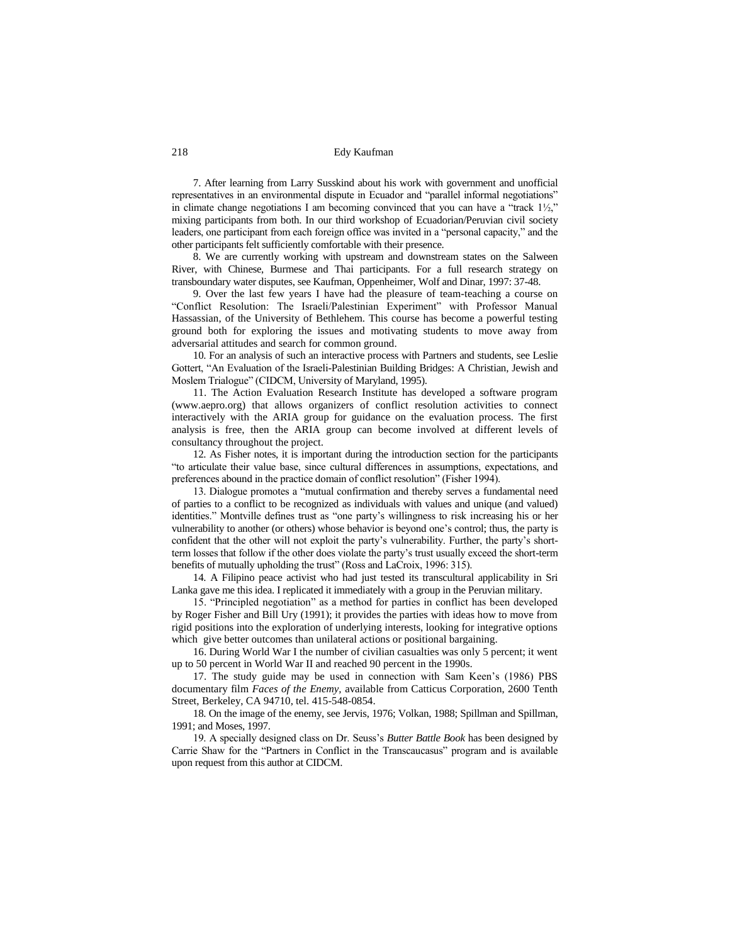7. After learning from Larry Susskind about his work with government and unofficial representatives in an environmental dispute in Ecuador and "parallel informal negotiations" in climate change negotiations I am becoming convinced that you can have a "track  $1\frac{1}{2}$ ," mixing participants from both. In our third workshop of Ecuadorian/Peruvian civil society leaders, one participant from each foreign office was invited in a "personal capacity," and the other participants felt sufficiently comfortable with their presence.

8. We are currently working with upstream and downstream states on the Salween River, with Chinese, Burmese and Thai participants. For a full research strategy on transboundary water disputes, see Kaufman, Oppenheimer, Wolf and Dinar, 1997: 37-48.

9. Over the last few years I have had the pleasure of team-teaching a course on "Conflict Resolution: The Israeli/Palestinian Experiment" with Professor Manual Hassassian, of the University of Bethlehem. This course has become a powerful testing ground both for exploring the issues and motivating students to move away from adversarial attitudes and search for common ground.

10. For an analysis of such an interactive process with Partners and students, see Leslie Gottert, "An Evaluation of the Israeli-Palestinian Building Bridges: A Christian, Jewish and Moslem Trialogue" (CIDCM, University of Maryland, 1995).

11. The Action Evaluation Research Institute has developed a software program (www.aepro.org) that allows organizers of conflict resolution activities to connect interactively with the ARIA group for guidance on the evaluation process. The first analysis is free, then the ARIA group can become involved at different levels of consultancy throughout the project.

12. As Fisher notes, it is important during the introduction section for the participants "to articulate their value base, since cultural differences in assumptions, expectations, and preferences abound in the practice domain of conflict resolution" (Fisher 1994).

13. Dialogue promotes a "mutual confirmation and thereby serves a fundamental need of parties to a conflict to be recognized as individuals with values and unique (and valued) identities." Montville defines trust as "one party's willingness to risk increasing his or her vulnerability to another (or others) whose behavior is beyond one's control; thus, the party is confident that the other will not exploit the party's vulnerability. Further, the party's shortterm losses that follow if the other does violate the party's trust usually exceed the short-term benefits of mutually upholding the trust" (Ross and LaCroix, 1996: 315).

14. A Filipino peace activist who had just tested its transcultural applicability in Sri Lanka gave me this idea. I replicated it immediately with a group in the Peruvian military.

15. "Principled negotiation" as a method for parties in conflict has been developed by Roger Fisher and Bill Ury (1991); it provides the parties with ideas how to move from rigid positions into the exploration of underlying interests, looking for integrative options which give better outcomes than unilateral actions or positional bargaining.

16. During World War I the number of civilian casualties was only 5 percent; it went up to 50 percent in World War II and reached 90 percent in the 1990s.

17. The study guide may be used in connection with Sam Keen's (1986) PBS documentary film *Faces of the Enemy,* available from Catticus Corporation, 2600 Tenth Street, Berkeley, CA 94710, tel. 415-548-0854.

18. On the image of the enemy, see Jervis, 1976; Volkan, 1988; Spillman and Spillman, 1991; and Moses, 1997.

19. A specially designed class on Dr. Seuss's *Butter Battle Book* has been designed by Carrie Shaw for the "Partners in Conflict in the Transcaucasus" program and is available upon request from this author at CIDCM.